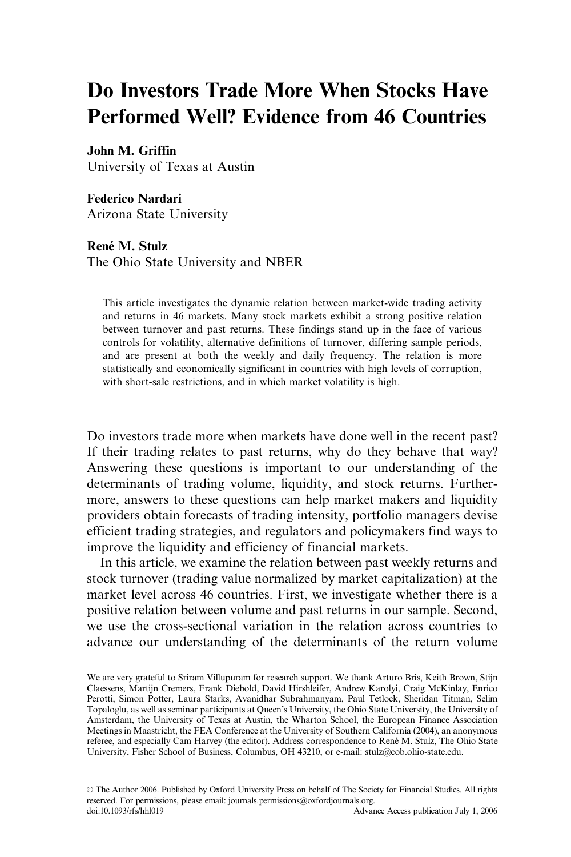# Do Investors Trade More When Stocks Have Performed Well? Evidence from 46 Countries

### John M. Griffin

University of Texas at Austin

# Federico Nardari

Arizona State University

#### René M. Stulz

The Ohio State University and NBER

This article investigates the dynamic relation between market-wide trading activity and returns in 46 markets. Many stock markets exhibit a strong positive relation between turnover and past returns. These findings stand up in the face of various controls for volatility, alternative definitions of turnover, differing sample periods, and are present at both the weekly and daily frequency. The relation is more statistically and economically significant in countries with high levels of corruption, with short-sale restrictions, and in which market volatility is high.

Do investors trade more when markets have done well in the recent past? If their trading relates to past returns, why do they behave that way? Answering these questions is important to our understanding of the determinants of trading volume, liquidity, and stock returns. Furthermore, answers to these questions can help market makers and liquidity providers obtain forecasts of trading intensity, portfolio managers devise efficient trading strategies, and regulators and policymakers find ways to improve the liquidity and efficiency of financial markets.

In this article, we examine the relation between past weekly returns and stock turnover (trading value normalized by market capitalization) at the market level across 46 countries. First, we investigate whether there is a positive relation between volume and past returns in our sample. Second, we use the cross-sectional variation in the relation across countries to advance our understanding of the determinants of the return–volume

- The Author 2006. Published by Oxford University Press on behalf of The Society for Financial Studies. All rights reserved. For permissions, please email: journals.[permissions@oxfordjournals.org.](mailto:permissions@oxfordjournals.org) Advance Access publication July 1, 2006

We are very grateful to Sriram Villupuram for research support. We thank Arturo Bris, Keith Brown, Stijn Claessens, Martijn Cremers, Frank Diebold, David Hirshleifer, Andrew Karolyi, Craig McKinlay, Enrico Perotti, Simon Potter, Laura Starks, Avanidhar Subrahmanyam, Paul Tetlock, Sheridan Titman, Selim Topaloglu, as well as seminar participants at Queen's University, the Ohio State University, the University of Amsterdam, the University of Texas at Austin, the Wharton School, the European Finance Association Meetings in Maastricht, the FEA Conference at the University of Southern California (2004), an anonymous referee, and especially Cam Harvey (the editor). Address correspondence to René M. Stulz, The Ohio State University, Fisher School of Business, Columbus, OH 43210, or e-mail: [stulz@cob.ohio-state.edu.](mailto:stulz@cob.ohio-state.edu)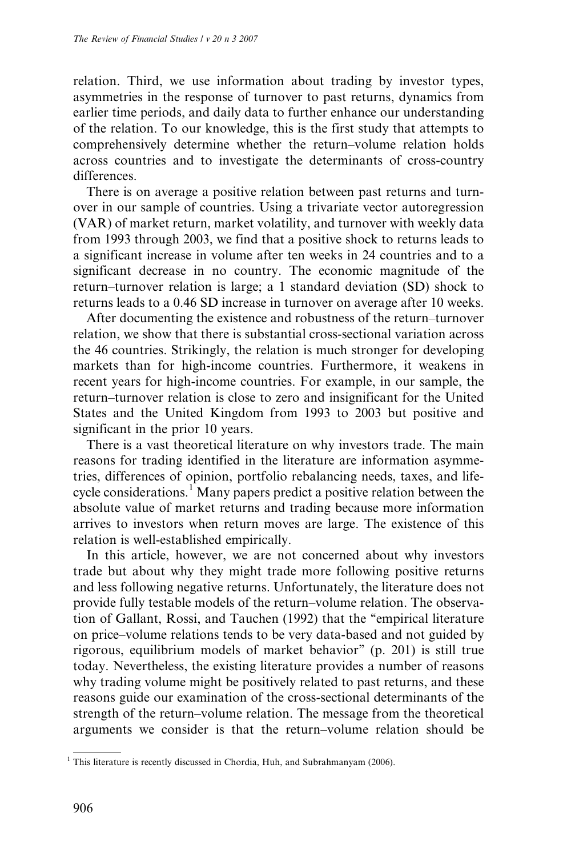relation. Third, we use information about trading by investor types, asymmetries in the response of turnover to past returns, dynamics from earlier time periods, and daily data to further enhance our understanding of the relation. To our knowledge, this is the first study that attempts to comprehensively determine whether the return–volume relation holds across countries and to investigate the determinants of cross-country differences.

There is on average a positive relation between past returns and turnover in our sample of countries. Using a trivariate vector autoregression (VAR) of market return, market volatility, and turnover with weekly data from 1993 through 2003, we find that a positive shock to returns leads to a significant increase in volume after ten weeks in 24 countries and to a significant decrease in no country. The economic magnitude of the return–turnover relation is large; a 1 standard deviation (SD) shock to returns leads to a 0.46 SD increase in turnover on average after 10 weeks.

After documenting the existence and robustness of the return–turnover relation, we show that there is substantial cross-sectional variation across the 46 countries. Strikingly, the relation is much stronger for developing markets than for high-income countries. Furthermore, it weakens in recent years for high-income countries. For example, in our sample, the return–turnover relation is close to zero and insignificant for the United States and the United Kingdom from 1993 to 2003 but positive and significant in the prior 10 years.

There is a vast theoretical literature on why investors trade. The main reasons for trading identified in the literature are information asymmetries, differences of opinion, portfolio rebalancing needs, taxes, and lifecycle considerations.<sup>1</sup> Many papers predict a positive relation between the absolute value of market returns and trading because more information arrives to investors when return moves are large. The existence of this relation is well-established empirically.

In this article, however, we are not concerned about why investors trade but about why they might trade more following positive returns and less following negative returns. Unfortunately, the literature does not provide fully testable models of the return–volume relation. The observation of Gallant, Rossi, and Tauchen (1992) that the "empirical literature on price–volume relations tends to be very data-based and not guided by rigorous, equilibrium models of market behavior'' (p. 201) is still true today. Nevertheless, the existing literature provides a number of reasons why trading volume might be positively related to past returns, and these reasons guide our examination of the cross-sectional determinants of the strength of the return–volume relation. The message from the theoretical arguments we consider is that the return–volume relation should be

 $1$  This literature is recently discussed in Chordia, Huh, and Subrahmanyam (2006).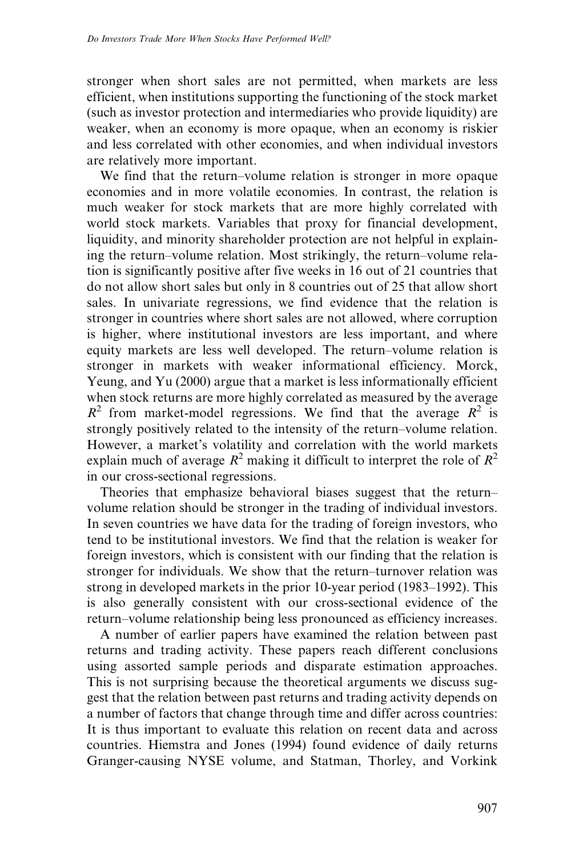stronger when short sales are not permitted, when markets are less efficient, when institutions supporting the functioning of the stock market (such as investor protection and intermediaries who provide liquidity) are weaker, when an economy is more opaque, when an economy is riskier and less correlated with other economies, and when individual investors are relatively more important.

We find that the return–volume relation is stronger in more opaque economies and in more volatile economies. In contrast, the relation is much weaker for stock markets that are more highly correlated with world stock markets. Variables that proxy for financial development, liquidity, and minority shareholder protection are not helpful in explaining the return–volume relation. Most strikingly, the return–volume relation is significantly positive after five weeks in 16 out of 21 countries that do not allow short sales but only in 8 countries out of 25 that allow short sales. In univariate regressions, we find evidence that the relation is stronger in countries where short sales are not allowed, where corruption is higher, where institutional investors are less important, and where equity markets are less well developed. The return–volume relation is stronger in markets with weaker informational efficiency. Morck, Yeung, and Yu (2000) argue that a market is less informationally efficient when stock returns are more highly correlated as measured by the average  $R^2$  from market-model regressions. We find that the average  $R^2$  is strongly positively related to the intensity of the return–volume relation. However, a market's volatility and correlation with the world markets explain much of average  $R^2$  making it difficult to interpret the role of  $R^2$ in our cross-sectional regressions.

Theories that emphasize behavioral biases suggest that the return– volume relation should be stronger in the trading of individual investors. In seven countries we have data for the trading of foreign investors, who tend to be institutional investors. We find that the relation is weaker for foreign investors, which is consistent with our finding that the relation is stronger for individuals. We show that the return–turnover relation was strong in developed markets in the prior 10-year period (1983–1992). This is also generally consistent with our cross-sectional evidence of the return–volume relationship being less pronounced as efficiency increases.

A number of earlier papers have examined the relation between past returns and trading activity. These papers reach different conclusions using assorted sample periods and disparate estimation approaches. This is not surprising because the theoretical arguments we discuss suggest that the relation between past returns and trading activity depends on a number of factors that change through time and differ across countries: It is thus important to evaluate this relation on recent data and across countries. Hiemstra and Jones (1994) found evidence of daily returns Granger-causing NYSE volume, and Statman, Thorley, and Vorkink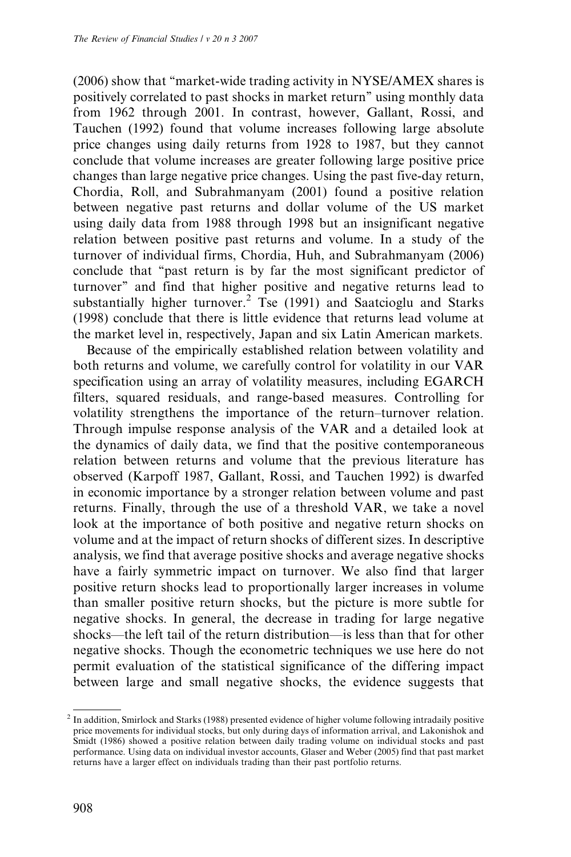(2006) show that ''market-wide trading activity in NYSE/AMEX shares is positively correlated to past shocks in market return'' using monthly data from 1962 through 2001. In contrast, however, Gallant, Rossi, and Tauchen (1992) found that volume increases following large absolute price changes using daily returns from 1928 to 1987, but they cannot conclude that volume increases are greater following large positive price changes than large negative price changes. Using the past five-day return, Chordia, Roll, and Subrahmanyam (2001) found a positive relation between negative past returns and dollar volume of the US market using daily data from 1988 through 1998 but an insignificant negative relation between positive past returns and volume. In a study of the turnover of individual firms, Chordia, Huh, and Subrahmanyam (2006) conclude that ''past return is by far the most significant predictor of turnover'' and find that higher positive and negative returns lead to substantially higher turnover.<sup>2</sup> Tse (1991) and Saatcioglu and Starks (1998) conclude that there is little evidence that returns lead volume at the market level in, respectively, Japan and six Latin American markets.

Because of the empirically established relation between volatility and both returns and volume, we carefully control for volatility in our VAR specification using an array of volatility measures, including EGARCH filters, squared residuals, and range-based measures. Controlling for volatility strengthens the importance of the return–turnover relation. Through impulse response analysis of the VAR and a detailed look at the dynamics of daily data, we find that the positive contemporaneous relation between returns and volume that the previous literature has observed (Karpoff 1987, Gallant, Rossi, and Tauchen 1992) is dwarfed in economic importance by a stronger relation between volume and past returns. Finally, through the use of a threshold VAR, we take a novel look at the importance of both positive and negative return shocks on volume and at the impact of return shocks of different sizes. In descriptive analysis, we find that average positive shocks and average negative shocks have a fairly symmetric impact on turnover. We also find that larger positive return shocks lead to proportionally larger increases in volume than smaller positive return shocks, but the picture is more subtle for negative shocks. In general, the decrease in trading for large negative shocks—the left tail of the return distribution—is less than that for other negative shocks. Though the econometric techniques we use here do not permit evaluation of the statistical significance of the differing impact between large and small negative shocks, the evidence suggests that

<sup>2</sup> In addition, Smirlock and Starks (1988) presented evidence of higher volume following intradaily positive price movements for individual stocks, but only during days of information arrival, and Lakonishok and Smidt (1986) showed a positive relation between daily trading volume on individual stocks and past performance. Using data on individual investor accounts, Glaser and Weber (2005) find that past market returns have a larger effect on individuals trading than their past portfolio returns.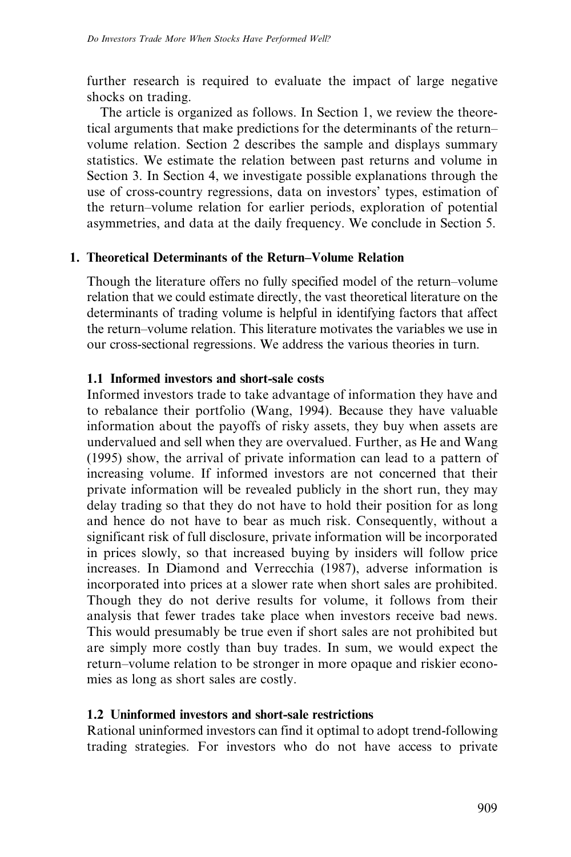further research is required to evaluate the impact of large negative shocks on trading.

The article is organized as follows. In Section 1, we review the theoretical arguments that make predictions for the determinants of the return– volume relation. Section 2 describes the sample and displays summary statistics. We estimate the relation between past returns and volume in Section 3. In Section 4, we investigate possible explanations through the use of cross-country regressions, data on investors' types, estimation of the return–volume relation for earlier periods, exploration of potential asymmetries, and data at the daily frequency. We conclude in Section 5.

### 1. Theoretical Determinants of the Return–Volume Relation

Though the literature offers no fully specified model of the return–volume relation that we could estimate directly, the vast theoretical literature on the determinants of trading volume is helpful in identifying factors that affect the return–volume relation. This literature motivates the variables we use in our cross-sectional regressions. We address the various theories in turn.

# 1.1 Informed investors and short-sale costs

Informed investors trade to take advantage of information they have and to rebalance their portfolio (Wang, 1994). Because they have valuable information about the payoffs of risky assets, they buy when assets are undervalued and sell when they are overvalued. Further, as He and Wang (1995) show, the arrival of private information can lead to a pattern of increasing volume. If informed investors are not concerned that their private information will be revealed publicly in the short run, they may delay trading so that they do not have to hold their position for as long and hence do not have to bear as much risk. Consequently, without a significant risk of full disclosure, private information will be incorporated in prices slowly, so that increased buying by insiders will follow price increases. In Diamond and Verrecchia (1987), adverse information is incorporated into prices at a slower rate when short sales are prohibited. Though they do not derive results for volume, it follows from their analysis that fewer trades take place when investors receive bad news. This would presumably be true even if short sales are not prohibited but are simply more costly than buy trades. In sum, we would expect the return–volume relation to be stronger in more opaque and riskier economies as long as short sales are costly.

# 1.2 Uninformed investors and short-sale restrictions

Rational uninformed investors can find it optimal to adopt trend-following trading strategies. For investors who do not have access to private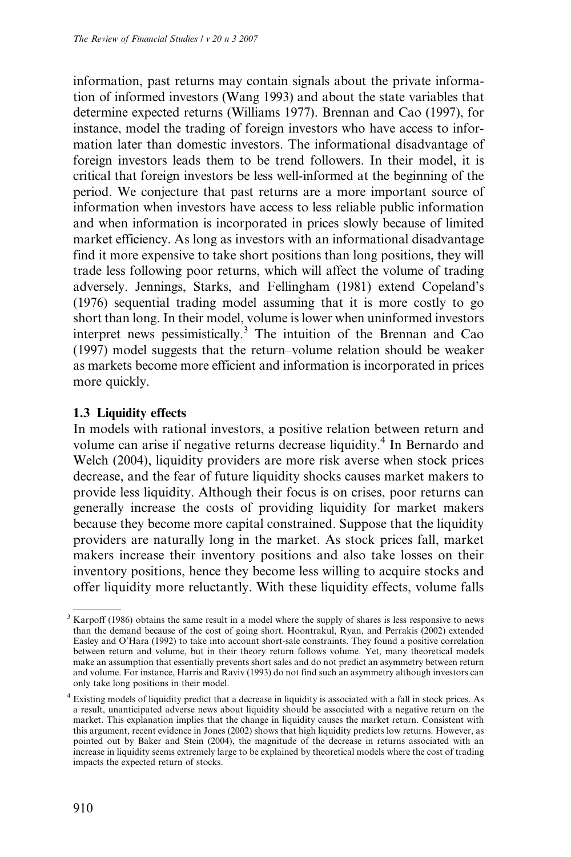information, past returns may contain signals about the private information of informed investors (Wang 1993) and about the state variables that determine expected returns (Williams 1977). Brennan and Cao (1997), for instance, model the trading of foreign investors who have access to information later than domestic investors. The informational disadvantage of foreign investors leads them to be trend followers. In their model, it is critical that foreign investors be less well-informed at the beginning of the period. We conjecture that past returns are a more important source of information when investors have access to less reliable public information and when information is incorporated in prices slowly because of limited market efficiency. As long as investors with an informational disadvantage find it more expensive to take short positions than long positions, they will trade less following poor returns, which will affect the volume of trading adversely. Jennings, Starks, and Fellingham (1981) extend Copeland's (1976) sequential trading model assuming that it is more costly to go short than long. In their model, volume is lower when uninformed investors interpret news pessimistically.3 The intuition of the Brennan and Cao (1997) model suggests that the return–volume relation should be weaker as markets become more efficient and information is incorporated in prices more quickly.

# 1.3 Liquidity effects

In models with rational investors, a positive relation between return and volume can arise if negative returns decrease liquidity.<sup>4</sup> In Bernardo and Welch (2004), liquidity providers are more risk averse when stock prices decrease, and the fear of future liquidity shocks causes market makers to provide less liquidity. Although their focus is on crises, poor returns can generally increase the costs of providing liquidity for market makers because they become more capital constrained. Suppose that the liquidity providers are naturally long in the market. As stock prices fall, market makers increase their inventory positions and also take losses on their inventory positions, hence they become less willing to acquire stocks and offer liquidity more reluctantly. With these liquidity effects, volume falls

<sup>&</sup>lt;sup>3</sup> Karpoff (1986) obtains the same result in a model where the supply of shares is less responsive to news than the demand because of the cost of going short. Hoontrakul, Ryan, and Perrakis (2002) extended Easley and O'Hara (1992) to take into account short-sale constraints. They found a positive correlation between return and volume, but in their theory return follows volume. Yet, many theoretical models make an assumption that essentially prevents short sales and do not predict an asymmetry between return and volume. For instance, Harris and Raviv (1993) do not find such an asymmetry although investors can only take long positions in their model.

<sup>4</sup> Existing models of liquidity predict that a decrease in liquidity is associated with a fall in stock prices. As a result, unanticipated adverse news about liquidity should be associated with a negative return on the market. This explanation implies that the change in liquidity causes the market return. Consistent with this argument, recent evidence in Jones (2002) shows that high liquidity predicts low returns. However, as pointed out by Baker and Stein (2004), the magnitude of the decrease in returns associated with an increase in liquidity seems extremely large to be explained by theoretical models where the cost of trading impacts the expected return of stocks.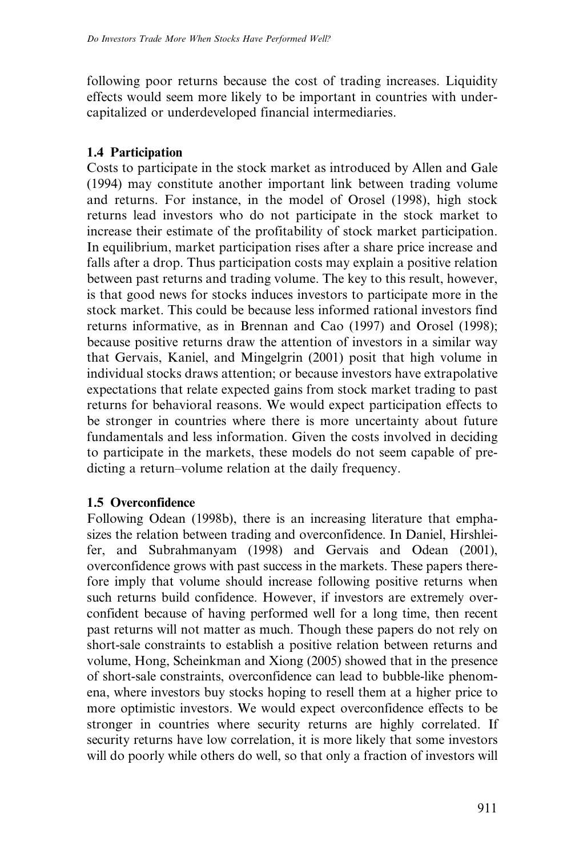following poor returns because the cost of trading increases. Liquidity effects would seem more likely to be important in countries with undercapitalized or underdeveloped financial intermediaries.

# 1.4 Participation

Costs to participate in the stock market as introduced by Allen and Gale (1994) may constitute another important link between trading volume and returns. For instance, in the model of Orosel (1998), high stock returns lead investors who do not participate in the stock market to increase their estimate of the profitability of stock market participation. In equilibrium, market participation rises after a share price increase and falls after a drop. Thus participation costs may explain a positive relation between past returns and trading volume. The key to this result, however, is that good news for stocks induces investors to participate more in the stock market. This could be because less informed rational investors find returns informative, as in Brennan and Cao (1997) and Orosel (1998); because positive returns draw the attention of investors in a similar way that Gervais, Kaniel, and Mingelgrin (2001) posit that high volume in individual stocks draws attention; or because investors have extrapolative expectations that relate expected gains from stock market trading to past returns for behavioral reasons. We would expect participation effects to be stronger in countries where there is more uncertainty about future fundamentals and less information. Given the costs involved in deciding to participate in the markets, these models do not seem capable of predicting a return–volume relation at the daily frequency.

# 1.5 Overconfidence

Following Odean (1998b), there is an increasing literature that emphasizes the relation between trading and overconfidence. In Daniel, Hirshleifer, and Subrahmanyam (1998) and Gervais and Odean (2001), overconfidence grows with past success in the markets. These papers therefore imply that volume should increase following positive returns when such returns build confidence. However, if investors are extremely overconfident because of having performed well for a long time, then recent past returns will not matter as much. Though these papers do not rely on short-sale constraints to establish a positive relation between returns and volume, Hong, Scheinkman and Xiong (2005) showed that in the presence of short-sale constraints, overconfidence can lead to bubble-like phenomena, where investors buy stocks hoping to resell them at a higher price to more optimistic investors. We would expect overconfidence effects to be stronger in countries where security returns are highly correlated. If security returns have low correlation, it is more likely that some investors will do poorly while others do well, so that only a fraction of investors will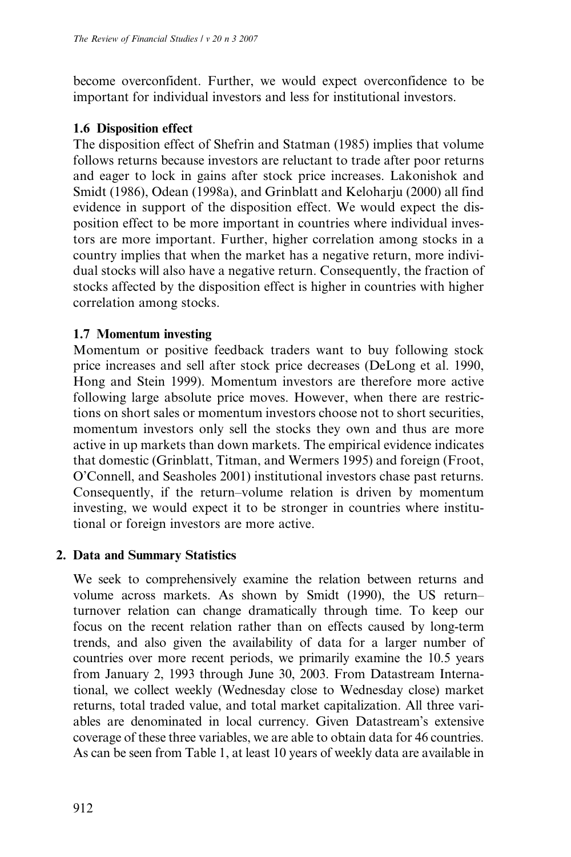become overconfident. Further, we would expect overconfidence to be important for individual investors and less for institutional investors.

# 1.6 Disposition effect

The disposition effect of Shefrin and Statman (1985) implies that volume follows returns because investors are reluctant to trade after poor returns and eager to lock in gains after stock price increases. Lakonishok and Smidt (1986), Odean (1998a), and Grinblatt and Keloharju (2000) all find evidence in support of the disposition effect. We would expect the disposition effect to be more important in countries where individual investors are more important. Further, higher correlation among stocks in a country implies that when the market has a negative return, more individual stocks will also have a negative return. Consequently, the fraction of stocks affected by the disposition effect is higher in countries with higher correlation among stocks.

# 1.7 Momentum investing

Momentum or positive feedback traders want to buy following stock price increases and sell after stock price decreases (DeLong et al. 1990, Hong and Stein 1999). Momentum investors are therefore more active following large absolute price moves. However, when there are restrictions on short sales or momentum investors choose not to short securities, momentum investors only sell the stocks they own and thus are more active in up markets than down markets. The empirical evidence indicates that domestic (Grinblatt, Titman, and Wermers 1995) and foreign (Froot, O'Connell, and Seasholes 2001) institutional investors chase past returns. Consequently, if the return–volume relation is driven by momentum investing, we would expect it to be stronger in countries where institutional or foreign investors are more active.

# 2. Data and Summary Statistics

We seek to comprehensively examine the relation between returns and volume across markets. As shown by Smidt (1990), the US return– turnover relation can change dramatically through time. To keep our focus on the recent relation rather than on effects caused by long-term trends, and also given the availability of data for a larger number of countries over more recent periods, we primarily examine the 10.5 years from January 2, 1993 through June 30, 2003. From Datastream International, we collect weekly (Wednesday close to Wednesday close) market returns, total traded value, and total market capitalization. All three variables are denominated in local currency. Given Datastream's extensive coverage of these three variables, we are able to obtain data for 46 countries. As can be seen from Table 1, at least 10 years of weekly data are available in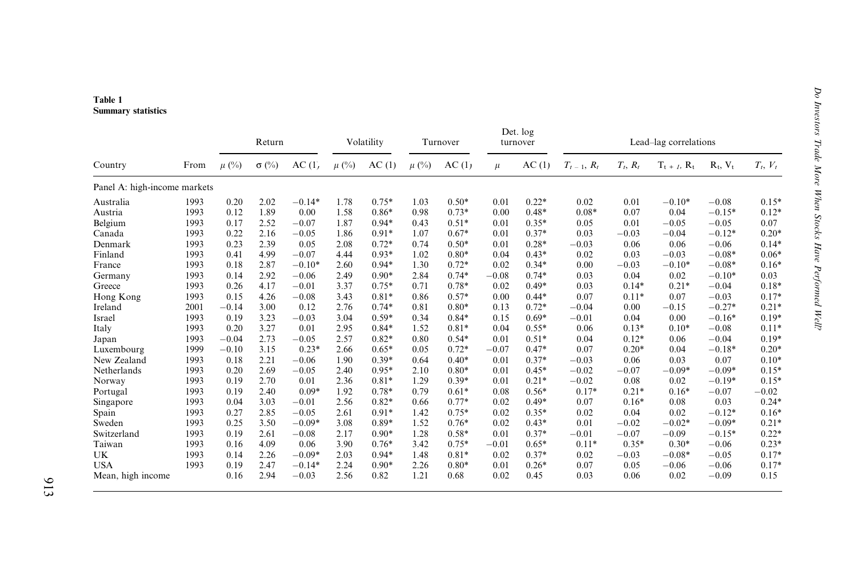#### Table 1Summary statistics

|                              |      |           | Return       |          |           | Volatility |           | Turnover |         | Det. log<br>turnover |                |               | Lead-lag correlations |               |               |
|------------------------------|------|-----------|--------------|----------|-----------|------------|-----------|----------|---------|----------------------|----------------|---------------|-----------------------|---------------|---------------|
| Country                      | From | $\mu$ (%) | $\sigma$ (%) | AC(1)    | $\mu$ (%) | AC(1)      | $\mu$ (%) | AC(1)    | $\mu$   | AC(1)                | $T_{t-1}, R_t$ | $T_t$ , $R_t$ | $T_{t+L}$ , $R_t$     | $R_t$ , $V_t$ | $T_t$ , $V_t$ |
| Panel A: high-income markets |      |           |              |          |           |            |           |          |         |                      |                |               |                       |               |               |
| Australia                    | 1993 | 0.20      | 2.02         | $-0.14*$ | 1.78      | $0.75*$    | 1.03      | $0.50*$  | 0.01    | $0.22*$              | 0.02           | 0.01          | $-0.10*$              | $-0.08$       | $0.15*$       |
| Austria                      | 1993 | 0.12      | 1.89         | 0.00     | 1.58      | $0.86*$    | 0.98      | $0.73*$  | 0.00    | $0.48*$              | $0.08*$        | 0.07          | 0.04                  | $-0.15*$      | $0.12*$       |
| Belgium                      | 1993 | 0.17      | 2.52         | $-0.07$  | 1.87      | $0.94*$    | 0.43      | $0.51*$  | 0.01    | $0.35*$              | 0.05           | 0.01          | $-0.05$               | $-0.05$       | 0.07          |
| Canada                       | 1993 | 0.22      | 2.16         | $-0.05$  | 1.86      | $0.91*$    | 1.07      | $0.67*$  | 0.01    | $0.37*$              | 0.03           | $-0.03$       | $-0.04$               | $-0.12*$      | $0.20*$       |
| Denmark                      | 1993 | 0.23      | 2.39         | 0.05     | 2.08      | $0.72*$    | 0.74      | $0.50*$  | 0.01    | $0.28*$              | $-0.03$        | 0.06          | 0.06                  | $-0.06$       | $0.14*$       |
| Finland                      | 1993 | 0.41      | 4.99         | $-0.07$  | 4.44      | $0.93*$    | 1.02      | $0.80*$  | 0.04    | $0.43*$              | 0.02           | 0.03          | $-0.03$               | $-0.08*$      | $0.06*$       |
| France                       | 1993 | 0.18      | 2.87         | $-0.10*$ | 2.60      | $0.94*$    | 1.30      | $0.72*$  | 0.02    | $0.34*$              | 0.00           | $-0.03$       | $-0.10*$              | $-0.08*$      | $0.16*$       |
| Germany                      | 1993 | 0.14      | 2.92         | $-0.06$  | 2.49      | $0.90*$    | 2.84      | $0.74*$  | $-0.08$ | $0.74*$              | 0.03           | 0.04          | 0.02                  | $-0.10*$      | 0.03          |
| Greece                       | 1993 | 0.26      | 4.17         | $-0.01$  | 3.37      | $0.75*$    | 0.71      | $0.78*$  | 0.02    | $0.49*$              | 0.03           | $0.14*$       | $0.21*$               | $-0.04$       | $0.18*$       |
| Hong Kong                    | 1993 | 0.15      | 4.26         | $-0.08$  | 3.43      | $0.81*$    | 0.86      | $0.57*$  | 0.00    | $0.44*$              | 0.07           | $0.11*$       | 0.07                  | $-0.03$       | $0.17*$       |
| Ireland                      | 2001 | $-0.14$   | 3.00         | 0.12     | 2.76      | $0.74*$    | 0.81      | $0.80*$  | 0.13    | $0.72*$              | $-0.04$        | 0.00          | $-0.15$               | $-0.27*$      | $0.21*$       |
| Israel                       | 1993 | 0.19      | 3.23         | $-0.03$  | 3.04      | $0.59*$    | 0.34      | $0.84*$  | 0.15    | $0.69*$              | $-0.01$        | 0.04          | 0.00                  | $-0.16*$      | $0.19*$       |
| Italy                        | 1993 | 0.20      | 3.27         | 0.01     | 2.95      | $0.84*$    | 1.52      | $0.81*$  | 0.04    | $0.55*$              | 0.06           | $0.13*$       | $0.10*$               | $-0.08$       | $0.11*$       |
| Japan                        | 1993 | $-0.04$   | 2.73         | $-0.05$  | 2.57      | $0.82*$    | 0.80      | $0.54*$  | 0.01    | $0.51*$              | 0.04           | $0.12*$       | 0.06                  | $-0.04$       | $0.19*$       |
| Luxembourg                   | 1999 | $-0.10$   | 3.15         | $0.23*$  | 2.66      | $0.65*$    | 0.05      | $0.72*$  | $-0.07$ | $0.47*$              | 0.07           | $0.20*$       | 0.04                  | $-0.18*$      | $0.20*$       |
| New Zealand                  | 1993 | 0.18      | 2.21         | $-0.06$  | 1.90      | $0.39*$    | 0.64      | $0.40*$  | 0.01    | $0.37*$              | $-0.03$        | 0.06          | 0.03                  | 0.07          | $0.10*$       |
| Netherlands                  | 1993 | 0.20      | 2.69         | $-0.05$  | 2.40      | $0.95*$    | 2.10      | $0.80*$  | 0.01    | $0.45*$              | $-0.02$        | $-0.07$       | $-0.09*$              | $-0.09*$      | $0.15*$       |
| Norway                       | 1993 | 0.19      | 2.70         | 0.01     | 2.36      | $0.81*$    | 1.29      | $0.39*$  | 0.01    | $0.21*$              | $-0.02$        | 0.08          | 0.02                  | $-0.19*$      | $0.15*$       |
| Portugal                     | 1993 | 0.19      | 2.40         | $0.09*$  | 1.92      | $0.78*$    | 0.79      | $0.61*$  | 0.08    | $0.56*$              | $0.17*$        | $0.21*$       | $0.16*$               | $-0.07$       | $-0.02$       |
| Singapore                    | 1993 | 0.04      | 3.03         | $-0.01$  | 2.56      | $0.82*$    | 0.66      | $0.77*$  | 0.02    | $0.49*$              | 0.07           | $0.16*$       | 0.08                  | 0.03          | $0.24*$       |
| Spain                        | 1993 | 0.27      | 2.85         | $-0.05$  | 2.61      | $0.91*$    | 1.42      | $0.75*$  | 0.02    | $0.35*$              | 0.02           | 0.04          | 0.02                  | $-0.12*$      | $0.16*$       |
| Sweden                       | 1993 | 0.25      | 3.50         | $-0.09*$ | 3.08      | $0.89*$    | 1.52      | $0.76*$  | 0.02    | $0.43*$              | 0.01           | $-0.02$       | $-0.02*$              | $-0.09*$      | $0.21*$       |
| Switzerland                  | 1993 | 0.19      | 2.61         | $-0.08$  | 2.17      | $0.90*$    | 1.28      | $0.58*$  | 0.01    | $0.37*$              | $-0.01$        | $-0.07$       | $-0.09$               | $-0.15*$      | $0.22*$       |
| Taiwan                       | 1993 | 0.16      | 4.09         | 0.06     | 3.90      | $0.76*$    | 3.42      | $0.75*$  | $-0.01$ | $0.65*$              | $0.11*$        | $0.35*$       | $0.30*$               | $-0.06$       | $0.23*$       |
| UK                           | 1993 | 0.14      | 2.26         | $-0.09*$ | 2.03      | $0.94*$    | 1.48      | $0.81*$  | 0.02    | $0.37*$              | 0.02           | $-0.03$       | $-0.08*$              | $-0.05$       | $0.17*$       |
| <b>USA</b>                   | 1993 | 0.19      | 2.47         | $-0.14*$ | 2.24      | $0.90*$    | 2.26      | $0.80*$  | 0.01    | $0.26*$              | 0.07           | 0.05          | $-0.06$               | $-0.06$       | $0.17*$       |
| Mean, high income            |      | 0.16      | 2.94         | $-0.03$  | 2.56      | 0.82       | 1.21      | 0.68     | 0.02    | 0.45                 | 0.03           | 0.06          | 0.02                  | $-0.09$       | 0.15          |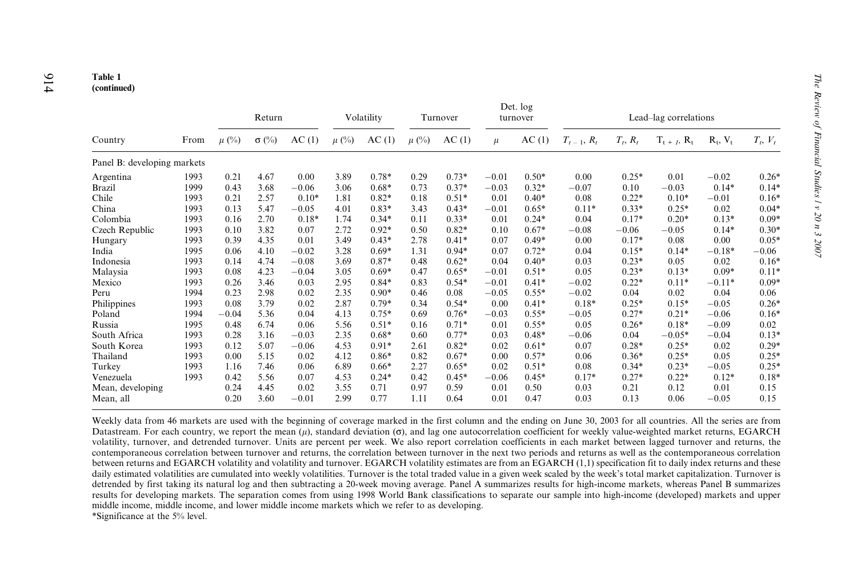#### Table 1

914

|                             |      |           | Return       |         | Volatility |         | Turnover  |         | Det. log<br>turnover |         | Lead-lag correlations |               |                   |               |               |  |  |
|-----------------------------|------|-----------|--------------|---------|------------|---------|-----------|---------|----------------------|---------|-----------------------|---------------|-------------------|---------------|---------------|--|--|
| Country                     | From | $\mu$ (%) | $\sigma$ (%) | AC(1)   | $\mu$ (%)  | AC(1)   | $\mu$ (%) | AC(1)   | $\mu$                | AC(1)   | $T_{t-1}, R_t$        | $T_t$ , $R_t$ | $T_{t+L}$ , $R_t$ | $R_t$ , $V_t$ | $T_t$ , $V_t$ |  |  |
| Panel B: developing markets |      |           |              |         |            |         |           |         |                      |         |                       |               |                   |               |               |  |  |
| Argentina                   | 1993 | 0.21      | 4.67         | 0.00    | 3.89       | $0.78*$ | 0.29      | $0.73*$ | $-0.01$              | $0.50*$ | 0.00                  | $0.25*$       | 0.01              | $-0.02$       | $0.26*$       |  |  |
| Brazil                      | 1999 | 0.43      | 3.68         | $-0.06$ | 3.06       | $0.68*$ | 0.73      | $0.37*$ | $-0.03$              | $0.32*$ | $-0.07$               | 0.10          | $-0.03$           | $0.14*$       | $0.14*$       |  |  |
| Chile                       | 1993 | 0.21      | 2.57         | $0.10*$ | 1.81       | $0.82*$ | 0.18      | $0.51*$ | 0.01                 | $0.40*$ | 0.08                  | $0.22*$       | $0.10*$           | $-0.01$       | $0.16*$       |  |  |
| China                       | 1993 | 0.13      | 5.47         | $-0.05$ | 4.01       | $0.83*$ | 3.43      | $0.43*$ | $-0.01$              | $0.65*$ | $0.11*$               | $0.33*$       | $0.25*$           | 0.02          | $0.04*$       |  |  |
| Colombia                    | 1993 | 0.16      | 2.70         | $0.18*$ | 1.74       | $0.34*$ | 0.11      | $0.33*$ | 0.01                 | $0.24*$ | 0.04                  | $0.17*$       | $0.20*$           | $0.13*$       | $0.09*$       |  |  |
| Czech Republic              | 1993 | 0.10      | 3.82         | 0.07    | 2.72       | $0.92*$ | 0.50      | $0.82*$ | 0.10                 | $0.67*$ | $-0.08$               | $-0.06$       | $-0.05$           | $0.14*$       | $0.30*$       |  |  |
| Hungary                     | 1993 | 0.39      | 4.35         | 0.01    | 3.49       | $0.43*$ | 2.78      | $0.41*$ | 0.07                 | $0.49*$ | 0.00                  | $0.17*$       | 0.08              | 0.00          | $0.05*$       |  |  |
| India                       | 1995 | 0.06      | 4.10         | $-0.02$ | 3.28       | $0.69*$ | 1.31      | $0.94*$ | 0.07                 | $0.72*$ | 0.04                  | $0.15*$       | $0.14*$           | $-0.18*$      | $-0.06$       |  |  |
| Indonesia                   | 1993 | 0.14      | 4.74         | $-0.08$ | 3.69       | $0.87*$ | 0.48      | $0.62*$ | 0.04                 | $0.40*$ | 0.03                  | $0.23*$       | 0.05              | 0.02          | $0.16*$       |  |  |
| Malaysia                    | 1993 | 0.08      | 4.23         | $-0.04$ | 3.05       | $0.69*$ | 0.47      | $0.65*$ | $-0.01$              | $0.51*$ | 0.05                  | $0.23*$       | $0.13*$           | $0.09*$       | $0.11*$       |  |  |
| Mexico                      | 1993 | 0.26      | 3.46         | 0.03    | 2.95       | $0.84*$ | 0.83      | $0.54*$ | $-0.01$              | $0.41*$ | $-0.02$               | $0.22*$       | $0.11*$           | $-0.11*$      | $0.09*$       |  |  |
| Peru                        | 1994 | 0.23      | 2.98         | 0.02    | 2.35       | $0.90*$ | 0.46      | 0.08    | $-0.05$              | $0.55*$ | $-0.02$               | 0.04          | 0.02              | 0.04          | 0.06          |  |  |
| Philippines                 | 1993 | 0.08      | 3.79         | 0.02    | 2.87       | $0.79*$ | 0.34      | $0.54*$ | 0.00                 | $0.41*$ | $0.18*$               | $0.25*$       | $0.15*$           | $-0.05$       | $0.26*$       |  |  |
| Poland                      | 1994 | $-0.04$   | 5.36         | 0.04    | 4.13       | $0.75*$ | 0.69      | $0.76*$ | $-0.03$              | $0.55*$ | $-0.05$               | $0.27*$       | $0.21*$           | $-0.06$       | $0.16*$       |  |  |
| Russia                      | 1995 | 0.48      | 6.74         | 0.06    | 5.56       | $0.51*$ | 0.16      | $0.71*$ | 0.01                 | $0.55*$ | 0.05                  | $0.26*$       | $0.18*$           | $-0.09$       | 0.02          |  |  |
| South Africa                | 1993 | 0.28      | 3.16         | $-0.03$ | 2.35       | $0.68*$ | 0.60      | $0.77*$ | 0.03                 | $0.48*$ | $-0.06$               | 0.04          | $-0.05*$          | $-0.04$       | $0.13*$       |  |  |
| South Korea                 | 1993 | 0.12      | 5.07         | $-0.06$ | 4.53       | $0.91*$ | 2.61      | $0.82*$ | 0.02                 | $0.61*$ | 0.07                  | $0.28*$       | $0.25*$           | 0.02          | $0.29*$       |  |  |
| Thailand                    | 1993 | 0.00      | 5.15         | 0.02    | 4.12       | $0.86*$ | 0.82      | $0.67*$ | 0.00                 | $0.57*$ | 0.06                  | $0.36*$       | $0.25*$           | 0.05          | $0.25*$       |  |  |
| Turkey                      | 1993 | 1.16      | 7.46         | 0.06    | 6.89       | $0.66*$ | 2.27      | $0.65*$ | 0.02                 | $0.51*$ | 0.08                  | $0.34*$       | $0.23*$           | $-0.05$       | $0.25*$       |  |  |
| Venezuela                   | 1993 | 0.42      | 5.56         | 0.07    | 4.53       | $0.24*$ | 0.42      | $0.45*$ | $-0.06$              | $0.45*$ | $0.17*$               | $0.27*$       | $0.22*$           | $0.12*$       | $0.18*$       |  |  |
| Mean, developing            |      | 0.24      | 4.45         | 0.02    | 3.55       | 0.71    | 0.97      | 0.59    | 0.01                 | 0.50    | 0.03                  | 0.21          | 0.12              | 0.01          | 0.15          |  |  |
| Mean, all                   |      | 0.20      | 3.60         | $-0.01$ | 2.99       | 0.77    | 1.11      | 0.64    | 0.01                 | 0.47    | 0.03                  | 0.13          | 0.06              | $-0.05$       | 0.15          |  |  |

Weekly data from 46 markets are used with the beginning of coverage marked in the first column and the ending on June 30, 2003 for all countries. All the series are from Datastream. For each country, we report the mean  $(\mu)$ , standard deviation  $(\sigma)$ , and lag one autocorrelation coefficient for weekly value-weighted market returns, EGARCH volatility, turnover, and detrended turnover. Units are percent per week. We also report correlation coefficients in each market between lagged turnover and returns, the contemporaneous correlation between turnover and returns, the correlation between turnover in the next two periods and returns as well as the contemporaneous correlation between returns and EGARCH volatility and volatility and turnover. EGARCH volatility estimates are from an EGARCH (1,1) specification fit to daily index returns and these daily estimated volatilities are cumulated into weekly volatilities. Turnover is the total traded value in a given week scaled by the week's total market capitalization. Turnover is detrended by first taking its natural log and then subtracting <sup>a</sup> 20-week moving average. Panel A summarizes results for high-income markets, whereas Panel B summarizes results for developing markets. The separation comes from using 1998 World Bank classifications to separate our sample into high-income (developed) markets and upper middle income, middle income, and lower middle income markets which we refer to as developing. \*Significance at the 5% level.

The Review of Financial Studies / v 20 n 3 2007The Review of Financial Studies / v 20 n 3 2007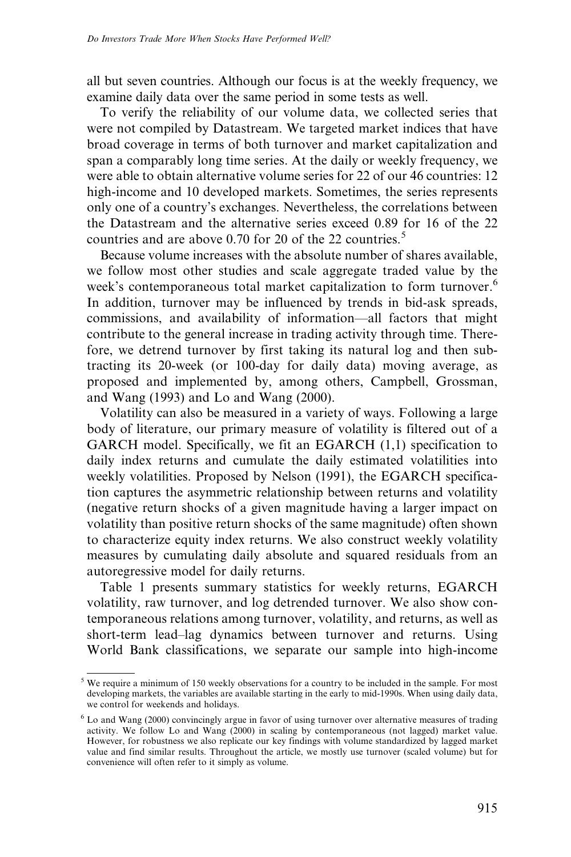all but seven countries. Although our focus is at the weekly frequency, we examine daily data over the same period in some tests as well.

To verify the reliability of our volume data, we collected series that were not compiled by Datastream. We targeted market indices that have broad coverage in terms of both turnover and market capitalization and span a comparably long time series. At the daily or weekly frequency, we were able to obtain alternative volume series for 22 of our 46 countries: 12 high-income and 10 developed markets. Sometimes, the series represents only one of a country's exchanges. Nevertheless, the correlations between the Datastream and the alternative series exceed 0.89 for 16 of the 22 countries and are above 0.70 for 20 of the 22 countries.<sup>5</sup>

Because volume increases with the absolute number of shares available, we follow most other studies and scale aggregate traded value by the week's contemporaneous total market capitalization to form turnover.<sup>6</sup> In addition, turnover may be influenced by trends in bid-ask spreads, commissions, and availability of information—all factors that might contribute to the general increase in trading activity through time. Therefore, we detrend turnover by first taking its natural log and then subtracting its 20-week (or 100-day for daily data) moving average, as proposed and implemented by, among others, Campbell, Grossman, and Wang (1993) and Lo and Wang (2000).

Volatility can also be measured in a variety of ways. Following a large body of literature, our primary measure of volatility is filtered out of a GARCH model. Specifically, we fit an EGARCH (1,1) specification to daily index returns and cumulate the daily estimated volatilities into weekly volatilities. Proposed by Nelson (1991), the EGARCH specification captures the asymmetric relationship between returns and volatility (negative return shocks of a given magnitude having a larger impact on volatility than positive return shocks of the same magnitude) often shown to characterize equity index returns. We also construct weekly volatility measures by cumulating daily absolute and squared residuals from an autoregressive model for daily returns.

Table 1 presents summary statistics for weekly returns, EGARCH volatility, raw turnover, and log detrended turnover. We also show contemporaneous relations among turnover, volatility, and returns, as well as short-term lead–lag dynamics between turnover and returns. Using World Bank classifications, we separate our sample into high-income

 $<sup>5</sup>$  We require a minimum of 150 weekly observations for a country to be included in the sample. For most</sup> developing markets, the variables are available starting in the early to mid-1990s. When using daily data, we control for weekends and holidays.

<sup>6</sup> Lo and Wang (2000) convincingly argue in favor of using turnover over alternative measures of trading activity. We follow Lo and Wang (2000) in scaling by contemporaneous (not lagged) market value. However, for robustness we also replicate our key findings with volume standardized by lagged market value and find similar results. Throughout the article, we mostly use turnover (scaled volume) but for convenience will often refer to it simply as volume.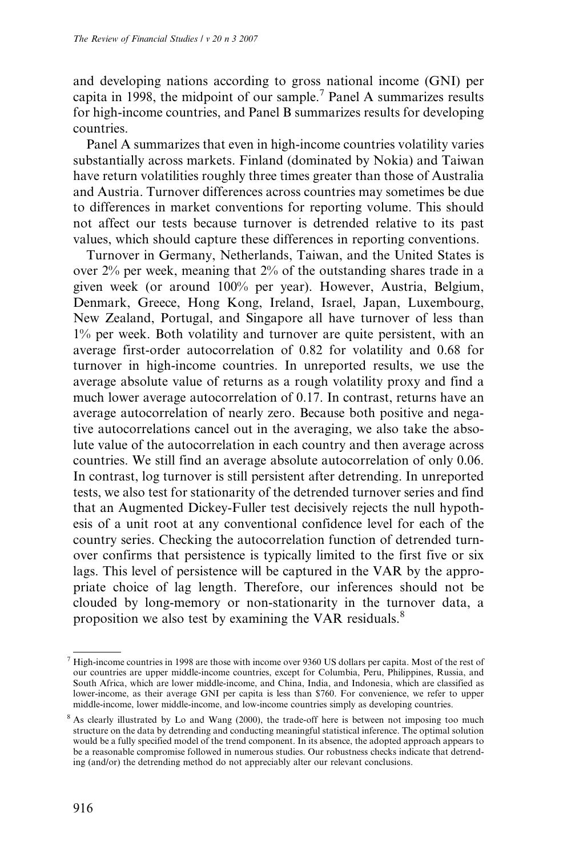and developing nations according to gross national income (GNI) per capita in 1998, the midpoint of our sample.<sup>7</sup> Panel A summarizes results for high-income countries, and Panel B summarizes results for developing countries.

Panel A summarizes that even in high-income countries volatility varies substantially across markets. Finland (dominated by Nokia) and Taiwan have return volatilities roughly three times greater than those of Australia and Austria. Turnover differences across countries may sometimes be due to differences in market conventions for reporting volume. This should not affect our tests because turnover is detrended relative to its past values, which should capture these differences in reporting conventions.

Turnover in Germany, Netherlands, Taiwan, and the United States is over 2% per week, meaning that 2% of the outstanding shares trade in a given week (or around 100% per year). However, Austria, Belgium, Denmark, Greece, Hong Kong, Ireland, Israel, Japan, Luxembourg, New Zealand, Portugal, and Singapore all have turnover of less than 1% per week. Both volatility and turnover are quite persistent, with an average first-order autocorrelation of 0.82 for volatility and 0.68 for turnover in high-income countries. In unreported results, we use the average absolute value of returns as a rough volatility proxy and find a much lower average autocorrelation of 0.17. In contrast, returns have an average autocorrelation of nearly zero. Because both positive and negative autocorrelations cancel out in the averaging, we also take the absolute value of the autocorrelation in each country and then average across countries. We still find an average absolute autocorrelation of only 0.06. In contrast, log turnover is still persistent after detrending. In unreported tests, we also test for stationarity of the detrended turnover series and find that an Augmented Dickey-Fuller test decisively rejects the null hypothesis of a unit root at any conventional confidence level for each of the country series. Checking the autocorrelation function of detrended turnover confirms that persistence is typically limited to the first five or six lags. This level of persistence will be captured in the VAR by the appropriate choice of lag length. Therefore, our inferences should not be clouded by long-memory or non-stationarity in the turnover data, a proposition we also test by examining the VAR residuals.<sup>8</sup>

 $7$  High-income countries in 1998 are those with income over 9360 US dollars per capita. Most of the rest of our countries are upper middle-income countries, except for Columbia, Peru, Philippines, Russia, and South Africa, which are lower middle-income, and China, India, and Indonesia, which are classified as lower-income, as their average GNI per capita is less than \$760. For convenience, we refer to upper middle-income, lower middle-income, and low-income countries simply as developing countries.

<sup>&</sup>lt;sup>8</sup> As clearly illustrated by Lo and Wang (2000), the trade-off here is between not imposing too much structure on the data by detrending and conducting meaningful statistical inference. The optimal solution would be a fully specified model of the trend component. In its absence, the adopted approach appears to be a reasonable compromise followed in numerous studies. Our robustness checks indicate that detrending (and/or) the detrending method do not appreciably alter our relevant conclusions.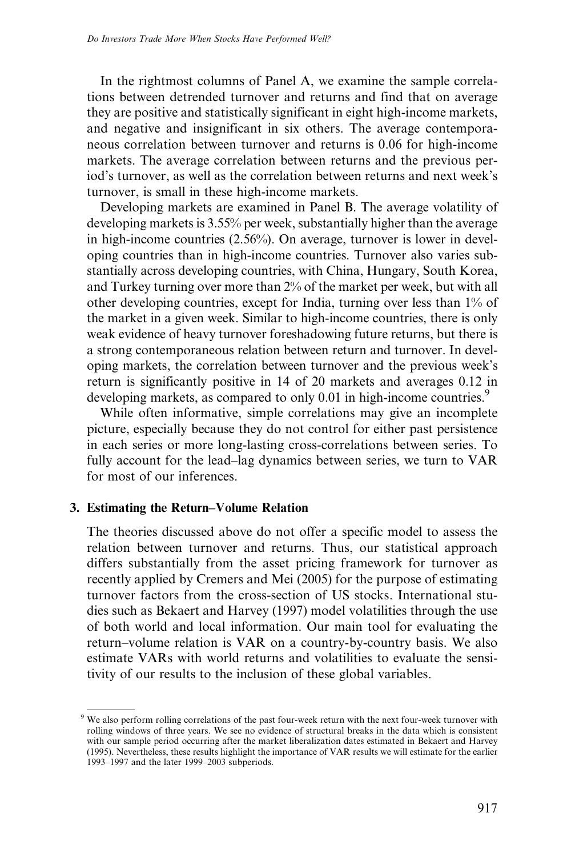In the rightmost columns of Panel A, we examine the sample correlations between detrended turnover and returns and find that on average they are positive and statistically significant in eight high-income markets, and negative and insignificant in six others. The average contemporaneous correlation between turnover and returns is 0.06 for high-income markets. The average correlation between returns and the previous period's turnover, as well as the correlation between returns and next week's turnover, is small in these high-income markets.

Developing markets are examined in Panel B. The average volatility of developing markets is 3.55% per week, substantially higher than the average in high-income countries (2.56%). On average, turnover is lower in developing countries than in high-income countries. Turnover also varies substantially across developing countries, with China, Hungary, South Korea, and Turkey turning over more than 2% of the market per week, but with all other developing countries, except for India, turning over less than 1% of the market in a given week. Similar to high-income countries, there is only weak evidence of heavy turnover foreshadowing future returns, but there is a strong contemporaneous relation between return and turnover. In developing markets, the correlation between turnover and the previous week's return is significantly positive in 14 of 20 markets and averages 0.12 in developing markets, as compared to only 0.01 in high-income countries.<sup>9</sup>

While often informative, simple correlations may give an incomplete picture, especially because they do not control for either past persistence in each series or more long-lasting cross-correlations between series. To fully account for the lead–lag dynamics between series, we turn to VAR for most of our inferences.

#### 3. Estimating the Return–Volume Relation

The theories discussed above do not offer a specific model to assess the relation between turnover and returns. Thus, our statistical approach differs substantially from the asset pricing framework for turnover as recently applied by Cremers and Mei (2005) for the purpose of estimating turnover factors from the cross-section of US stocks. International studies such as Bekaert and Harvey (1997) model volatilities through the use of both world and local information. Our main tool for evaluating the return–volume relation is VAR on a country-by-country basis. We also estimate VARs with world returns and volatilities to evaluate the sensitivity of our results to the inclusion of these global variables.

<sup>&</sup>lt;sup>9</sup> We also perform rolling correlations of the past four-week return with the next four-week turnover with rolling windows of three years. We see no evidence of structural breaks in the data which is consistent with our sample period occurring after the market liberalization dates estimated in Bekaert and Harvey (1995). Nevertheless, these results highlight the importance of VAR results we will estimate for the earlier 1993–1997 and the later 1999–2003 subperiods.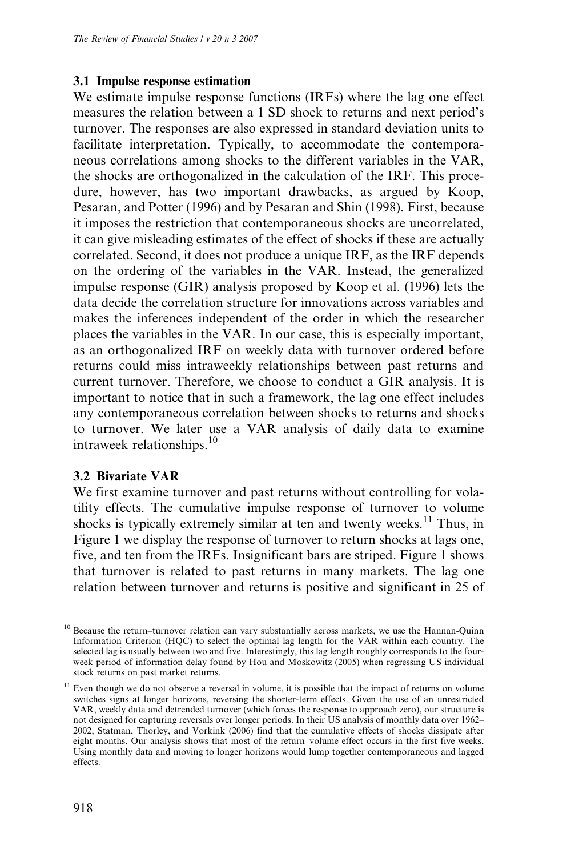# 3.1 Impulse response estimation

We estimate impulse response functions (IRFs) where the lag one effect measures the relation between a 1 SD shock to returns and next period's turnover. The responses are also expressed in standard deviation units to facilitate interpretation. Typically, to accommodate the contemporaneous correlations among shocks to the different variables in the VAR, the shocks are orthogonalized in the calculation of the IRF. This procedure, however, has two important drawbacks, as argued by Koop, Pesaran, and Potter (1996) and by Pesaran and Shin (1998). First, because it imposes the restriction that contemporaneous shocks are uncorrelated, it can give misleading estimates of the effect of shocks if these are actually correlated. Second, it does not produce a unique IRF, as the IRF depends on the ordering of the variables in the VAR. Instead, the generalized impulse response (GIR) analysis proposed by Koop et al. (1996) lets the data decide the correlation structure for innovations across variables and makes the inferences independent of the order in which the researcher places the variables in the VAR. In our case, this is especially important, as an orthogonalized IRF on weekly data with turnover ordered before returns could miss intraweekly relationships between past returns and current turnover. Therefore, we choose to conduct a GIR analysis. It is important to notice that in such a framework, the lag one effect includes any contemporaneous correlation between shocks to returns and shocks to turnover. We later use a VAR analysis of daily data to examine  $intraweek$  relationships.<sup>10</sup>

# 3.2 Bivariate VAR

We first examine turnover and past returns without controlling for volatility effects. The cumulative impulse response of turnover to volume shocks is typically extremely similar at ten and twenty weeks.<sup>11</sup> Thus, in Figure 1 we display the response of turnover to return shocks at lags one, five, and ten from the IRFs. Insignificant bars are striped. Figure 1 shows that turnover is related to past returns in many markets. The lag one relation between turnover and returns is positive and significant in 25 of

<sup>&</sup>lt;sup>10</sup> Because the return–turnover relation can vary substantially across markets, we use the Hannan-Quinn Information Criterion (HQC) to select the optimal lag length for the VAR within each country. The selected lag is usually between two and five. Interestingly, this lag length roughly corresponds to the fourweek period of information delay found by Hou and Moskowitz (2005) when regressing US individual stock returns on past market returns.

<sup>&</sup>lt;sup>11</sup> Even though we do not observe a reversal in volume, it is possible that the impact of returns on volume switches signs at longer horizons, reversing the shorter-term effects. Given the use of an unrestricted VAR, weekly data and detrended turnover (which forces the response to approach zero), our structure is not designed for capturing reversals over longer periods. In their US analysis of monthly data over 1962– 2002, Statman, Thorley, and Vorkink (2006) find that the cumulative effects of shocks dissipate after eight months. Our analysis shows that most of the return–volume effect occurs in the first five weeks. Using monthly data and moving to longer horizons would lump together contemporaneous and lagged effects.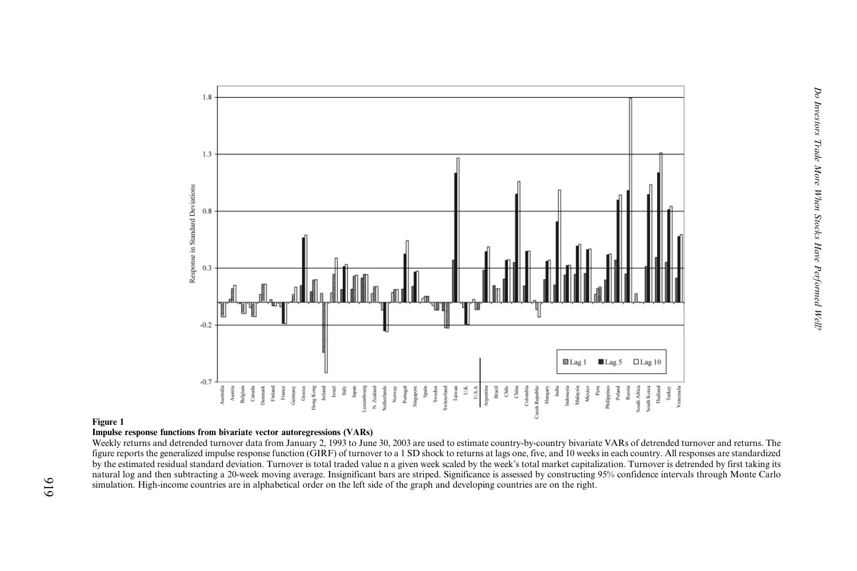■Lag 1 

#### Figure 1

#### Impulse response functions from bivariate vector autoregressions (VARs)

Weekly returns and detrended turnover data from January 2, 1993 to June 30, 2003 are used to estimate country-by-country bivariate VARs of detrended turnover and returns. The figure reports the generalized impulse response function (GIRF) of turnover to <sup>a</sup> 1 SD shock to returns at lags one, five, and 10 weeks in each country. All responses are standardized by the estimated residual standard deviation. Turnover is total traded value <sup>n</sup> <sup>a</sup> given week scaled by the week's total market capitalization. Turnover is detrended by first taking its natural log and then subtracting <sup>a</sup> 20-week moving average. Insignificant bars are striped. Significance is assessed by constructing 95% confidence intervals through Monte Carlo simulation. High-income countries are in alphabetical order on the left side of the graph and developing countries are on the right.

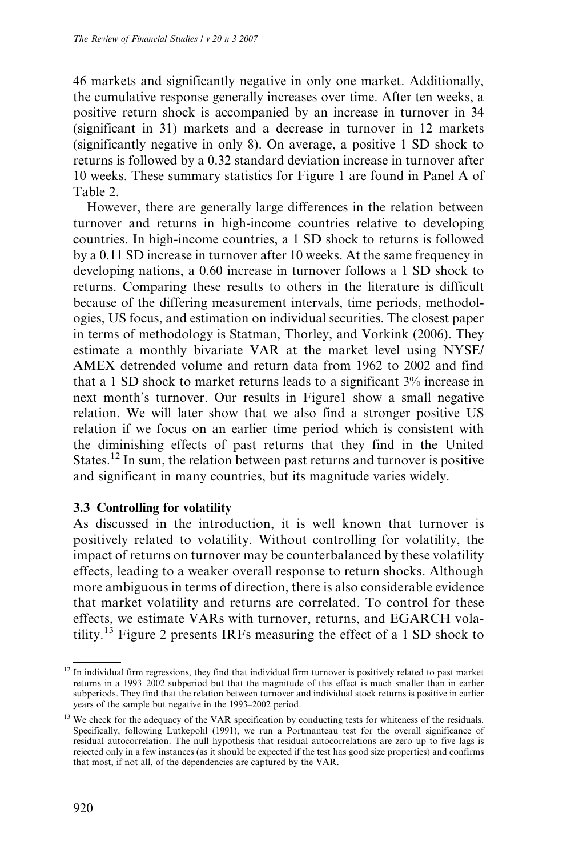46 markets and significantly negative in only one market. Additionally, the cumulative response generally increases over time. After ten weeks, a positive return shock is accompanied by an increase in turnover in 34 (significant in 31) markets and a decrease in turnover in 12 markets (significantly negative in only 8). On average, a positive 1 SD shock to returns is followed by a 0.32 standard deviation increase in turnover after 10 weeks. These summary statistics for Figure 1 are found in Panel A of Table 2.

However, there are generally large differences in the relation between turnover and returns in high-income countries relative to developing countries. In high-income countries, a 1 SD shock to returns is followed by a 0.11 SD increase in turnover after 10 weeks. At the same frequency in developing nations, a 0.60 increase in turnover follows a 1 SD shock to returns. Comparing these results to others in the literature is difficult because of the differing measurement intervals, time periods, methodologies, US focus, and estimation on individual securities. The closest paper in terms of methodology is Statman, Thorley, and Vorkink (2006). They estimate a monthly bivariate VAR at the market level using NYSE/ AMEX detrended volume and return data from 1962 to 2002 and find that a 1 SD shock to market returns leads to a significant 3% increase in next month's turnover. Our results in Figure1 show a small negative relation. We will later show that we also find a stronger positive US relation if we focus on an earlier time period which is consistent with the diminishing effects of past returns that they find in the United States.12 In sum, the relation between past returns and turnover is positive and significant in many countries, but its magnitude varies widely.

# 3.3 Controlling for volatility

As discussed in the introduction, it is well known that turnover is positively related to volatility. Without controlling for volatility, the impact of returns on turnover may be counterbalanced by these volatility effects, leading to a weaker overall response to return shocks. Although more ambiguous in terms of direction, there is also considerable evidence that market volatility and returns are correlated. To control for these effects, we estimate VARs with turnover, returns, and EGARCH volatility.<sup>13</sup> Figure 2 presents IRFs measuring the effect of a 1 SD shock to

<sup>&</sup>lt;sup>12</sup> In individual firm regressions, they find that individual firm turnover is positively related to past market returns in a 1993–2002 subperiod but that the magnitude of this effect is much smaller than in earlier subperiods. They find that the relation between turnover and individual stock returns is positive in earlier years of the sample but negative in the 1993–2002 period.

<sup>&</sup>lt;sup>13</sup> We check for the adequacy of the VAR specification by conducting tests for whiteness of the residuals. Specifically, following Lutkepohl (1991), we run a Portmanteau test for the overall significance of residual autocorrelation. The null hypothesis that residual autocorrelations are zero up to five lags is rejected only in a few instances (as it should be expected if the test has good size properties) and confirms that most, if not all, of the dependencies are captured by the VAR.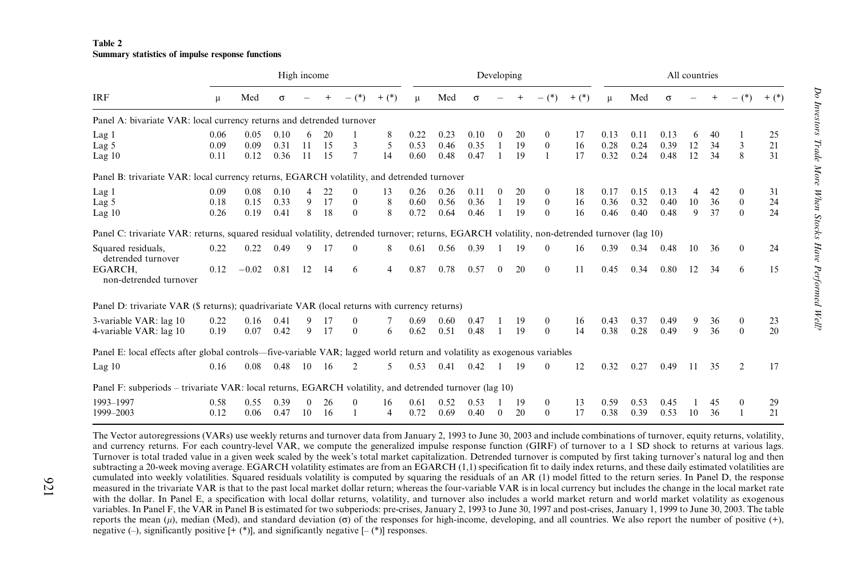#### Table 2Summary statistics of impulse response functions

|                                                                                                                                                | High income |         |      |    |     |              |           |      | Developing |      |          |     |          |         |      | All countries |      |    |    |          |           |
|------------------------------------------------------------------------------------------------------------------------------------------------|-------------|---------|------|----|-----|--------------|-----------|------|------------|------|----------|-----|----------|---------|------|---------------|------|----|----|----------|-----------|
| <b>IRF</b>                                                                                                                                     | μ           | Med     | σ    |    |     | $(*)$        | $+$ $(*)$ | u    | Med        | ᡴ    |          |     |          | $+$ (*) | u    | Med           | σ    |    |    |          | $+$ $(*)$ |
| Panel A: bivariate VAR: local currency returns and detrended turnover                                                                          |             |         |      |    |     |              |           |      |            |      |          |     |          |         |      |               |      |    |    |          |           |
| Lag 1                                                                                                                                          | 0.06        | 0.05    | 0.10 | 6  | 20  |              | 8         | 0.22 | 0.23       | 0.10 |          | 20  | 0        | 17      | 0.13 | 0.11          | 0.13 |    | 40 |          | 25        |
| Lag 5                                                                                                                                          | 0.09        | 0.09    | 0.31 | 11 | 15  | 3            | 5         | 0.53 | 0.46       | 0.35 |          | 19  | $\Omega$ | 16      | 0.28 | 0.24          | 0.39 | 12 | 34 | 3        | 21        |
| Lag10                                                                                                                                          | 0.11        | 0.12    | 0.36 | 11 | 15  | 7            | 14        | 0.60 | 0.48       | 0.47 |          | 19  |          | 17      | 0.32 | 0.24          | 0.48 | 12 | 34 | 8        | 31        |
| Panel B: trivariate VAR: local currency returns, EGARCH volatility, and detrended turnover                                                     |             |         |      |    |     |              |           |      |            |      |          |     |          |         |      |               |      |    |    |          |           |
| Lag 1                                                                                                                                          | 0.09        | 0.08    | 0.10 |    | 22  | $\mathbf{0}$ | 13        | 0.26 | 0.26       | 0.11 |          | 20  | 0        | 18      | 0.17 | 0.15          | 0.13 |    | 42 | 0        | 31        |
| Lag 5                                                                                                                                          | 0.18        | 0.15    | 0.33 | 9  | 17  | $\theta$     | 8         | 0.60 | 0.56       | 0.36 |          | 19  | $\theta$ | 16      | 0.36 | 0.32          | 0.40 | 10 | 36 | $\Omega$ | 24        |
| Lag10                                                                                                                                          | 0.26        | 0.19    | 0.41 | 8  | 18  | $\Omega$     | 8         | 0.72 | 0.64       | 0.46 |          | 19  | $\Omega$ | 16      | 0.46 | 0.40          | 0.48 | 9  | 37 | $\Omega$ | 24        |
| Panel C: trivariate VAR: returns, squared residual volatility, detrended turnover; returns, EGARCH volatility, non-detrended turnover (lag 10) |             |         |      |    |     |              |           |      |            |      |          |     |          |         |      |               |      |    |    |          |           |
| Squared residuals,<br>detrended turnover                                                                                                       | 0.22        | 0.22    | 0.49 | 9  | -17 | $\theta$     | 8         | 0.61 | 0.56       | 0.39 |          | 19  | 0        | 16      | 0.39 | 0.34          | 0.48 | 10 | 36 | $\Omega$ | 24        |
| EGARCH,<br>non-detrended turnover                                                                                                              | 0.12        | $-0.02$ | 0.81 | 12 | 14  | 6            | 4         | 0.87 | 0.78       | 0.57 | $\Omega$ | 20  | $\Omega$ | 11      | 0.45 | 0.34          | 0.80 | 12 | 34 | 6        | 15        |
| Panel D: trivariate VAR (\$ returns); quadrivariate VAR (local returns with currency returns)                                                  |             |         |      |    |     |              |           |      |            |      |          |     |          |         |      |               |      |    |    |          |           |
| 3-variable VAR: lag 10                                                                                                                         | 0.22        | 0.16    | 0.41 |    |     | 0            |           | 0.69 | 0.60       | 0.47 |          | 19  | $\theta$ | 16      | 0.43 | 0.37          | 0.49 |    | 36 | 0        | 23        |
| 4-variable VAR: lag 10                                                                                                                         | 0.19        | 0.07    | 0.42 | 9  | 17  | $\Omega$     | 6         | 0.62 | 0.51       | 0.48 |          | 19  | $\theta$ | 14      | 0.38 | 0.28          | 0.49 | 9  | 36 | $\theta$ | 20        |
| Panel E: local effects after global controls—five-variable VAR; lagged world return and volatility as exogenous variables                      |             |         |      |    |     |              |           |      |            |      |          |     |          |         |      |               |      |    |    |          |           |
| Lag10                                                                                                                                          | 0.16        | 0.08    | 0.48 | 10 | 16  | 2            | 5         | 0.53 | 0.41       | 0.42 |          | -19 | 0        | 12      | 0.32 | 0.27          | 0.49 | 11 | 35 | 2        | 17        |
| Panel F: subperiods – trivariate VAR: local returns, EGARCH volatility, and detrended turnover (lag 10)                                        |             |         |      |    |     |              |           |      |            |      |          |     |          |         |      |               |      |    |    |          |           |
| 1993-1997                                                                                                                                      | 0.58        | 0.55    | 0.39 |    | 26  | $\Omega$     | 16        | 0.61 | 0.52       | 0.53 |          | 19  | $\Omega$ | 13      | 0.59 | 0.53          | 0.45 |    | 45 | 0        | 29        |
| 1999-2003                                                                                                                                      | 0.12        | 0.06    | 0.47 | 10 | 16  |              | 4         | 0.72 | 0.69       | 0.40 | $\Omega$ | 20  | $\Omega$ | 17      | 0.38 | 0.39          | 0.53 | 10 | 36 |          | 21        |

The Vector autoregressions (VARs) use weekly returns and turnover data from January 2, 1993 to June 30, 2003 and include combinations of turnover, equity returns, volatility, and currency returns. For each country-level VAR, we compute the generalized impulse response function (GIRF) of turnover to <sup>a</sup> 1 SD shock to returns at various lags. Turnover is total traded value in <sup>a</sup> given week scaled by the week's total market capitalization. Detrended turnover is computed by first taking turnover's natural log and then subtracting a 20-week moving average. EGARCH volatility estimates are from an EGARCH (1,1) specification fit to daily index returns, and these daily estimated volatilities are cumulated into weekly volatilities. Squared residuals volatility is computed by squaring the residuals of an AR (1) model fitted to the return series. In Panel D, the response measured in the trivariate VAR is that to the past local market dollar return; whereas the four-variable VAR is in local currency but includes the change in the local market rate with the dollar. In Panel E, a specification with local dollar returns, volatility, and turnover also includes a world market return and world market volatility as exogenous variables. In Panel F, the VAR in Panel B is estimated for two subperiods: pre-crises, January 2, 1993 to June 30, 1997 and post-crises, January 1, 1999 to June 30, 2003. The table reports the mean  $(\mu)$ , median (Med), and standard deviation (o) of the responses for high-income, developing, and all countries. We also report the number of positive  $(+)$ , negative (–), significantly positive  $[+ (*)]$ , and significantly negative  $[- (*)$  responses.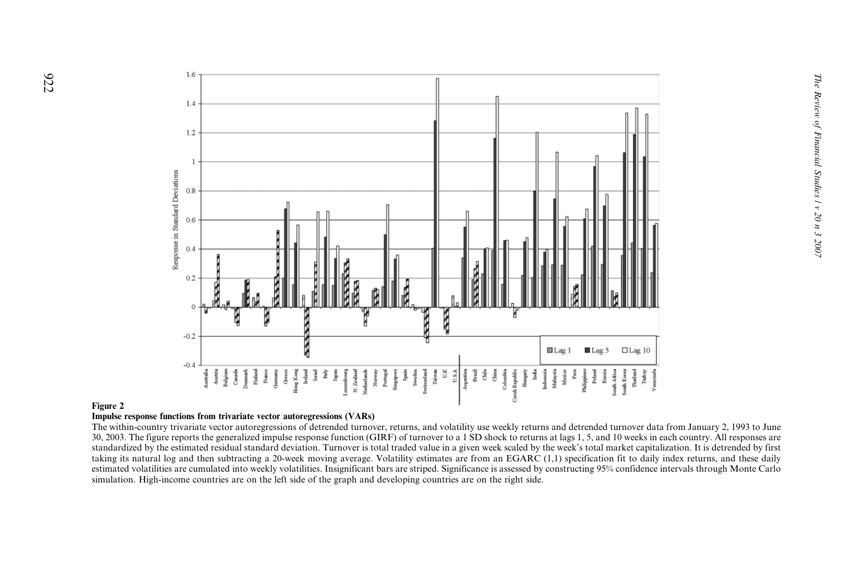

#### Figure 2

#### Impulse response functions from trivariate vector autoregressions (VARs)

The within-country trivariate vector autoregressions of detrended turnover, returns, and volatility use weekly returns and detrended turnover data from January 2, 1993 to June 30, 2003. The figure reports the generalized impulse response function (GIRF) of turnover to <sup>a</sup> 1 SD shock to returns at lags 1, 5, and 10 weeks in each country. All responses are standardized by the estimated residual standard deviation. Turnover is total traded value in <sup>a</sup> given week scaled by the week's total market capitalization. It is detrended by first taking its natural log and then subtracting <sup>a</sup> 20-week moving average. Volatility estimates are from an EGARC (1,1) specification fit to daily index returns, and these daily estimated volatilities are cumulated into weekly volatilities. Insignificant bars are striped. Significance is assessed by constructing 95% confidence intervals through Monte Carlo simulation. High-income countries are on the left side of the graph and developing countries are on the right side.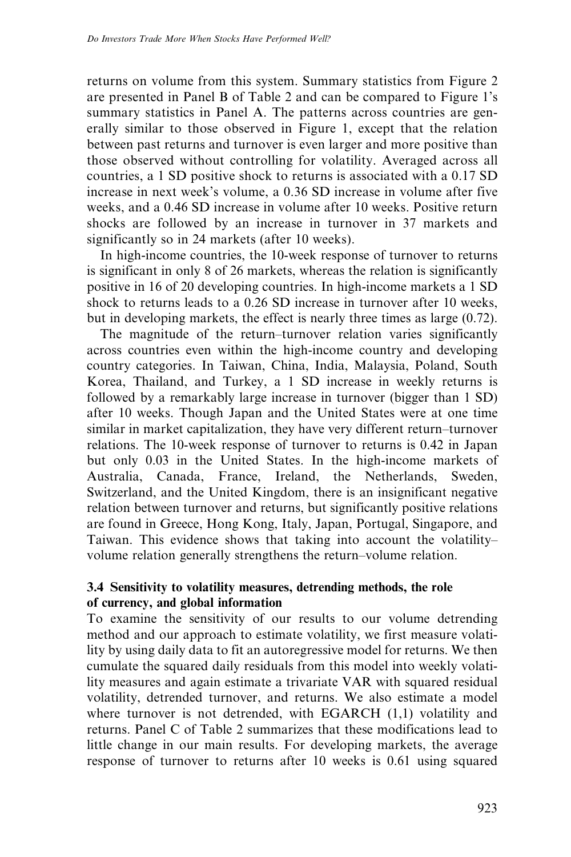returns on volume from this system. Summary statistics from Figure 2 are presented in Panel B of Table 2 and can be compared to Figure 1's summary statistics in Panel A. The patterns across countries are generally similar to those observed in Figure 1, except that the relation between past returns and turnover is even larger and more positive than those observed without controlling for volatility. Averaged across all countries, a 1 SD positive shock to returns is associated with a 0.17 SD increase in next week's volume, a 0.36 SD increase in volume after five weeks, and a 0.46 SD increase in volume after 10 weeks. Positive return shocks are followed by an increase in turnover in 37 markets and significantly so in 24 markets (after 10 weeks).

In high-income countries, the 10-week response of turnover to returns is significant in only 8 of 26 markets, whereas the relation is significantly positive in 16 of 20 developing countries. In high-income markets a 1 SD shock to returns leads to a 0.26 SD increase in turnover after 10 weeks, but in developing markets, the effect is nearly three times as large (0.72).

The magnitude of the return–turnover relation varies significantly across countries even within the high-income country and developing country categories. In Taiwan, China, India, Malaysia, Poland, South Korea, Thailand, and Turkey, a 1 SD increase in weekly returns is followed by a remarkably large increase in turnover (bigger than 1 SD) after 10 weeks. Though Japan and the United States were at one time similar in market capitalization, they have very different return–turnover relations. The 10-week response of turnover to returns is 0.42 in Japan but only 0.03 in the United States. In the high-income markets of Australia, Canada, France, Ireland, the Netherlands, Sweden, Switzerland, and the United Kingdom, there is an insignificant negative relation between turnover and returns, but significantly positive relations are found in Greece, Hong Kong, Italy, Japan, Portugal, Singapore, and Taiwan. This evidence shows that taking into account the volatility– volume relation generally strengthens the return–volume relation.

# 3.4 Sensitivity to volatility measures, detrending methods, the role of currency, and global information

To examine the sensitivity of our results to our volume detrending method and our approach to estimate volatility, we first measure volatility by using daily data to fit an autoregressive model for returns. We then cumulate the squared daily residuals from this model into weekly volatility measures and again estimate a trivariate VAR with squared residual volatility, detrended turnover, and returns. We also estimate a model where turnover is not detrended, with EGARCH (1,1) volatility and returns. Panel C of Table 2 summarizes that these modifications lead to little change in our main results. For developing markets, the average response of turnover to returns after 10 weeks is 0.61 using squared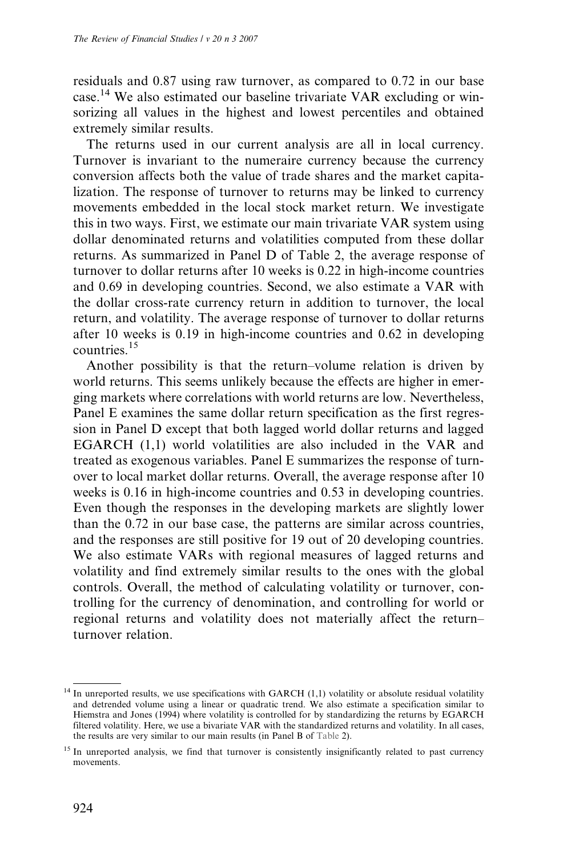residuals and 0.87 using raw turnover, as compared to 0.72 in our base case.<sup>14</sup> We also estimated our baseline trivariate VAR excluding or winsorizing all values in the highest and lowest percentiles and obtained extremely similar results.

The returns used in our current analysis are all in local currency. Turnover is invariant to the numeraire currency because the currency conversion affects both the value of trade shares and the market capitalization. The response of turnover to returns may be linked to currency movements embedded in the local stock market return. We investigate this in two ways. First, we estimate our main trivariate VAR system using dollar denominated returns and volatilities computed from these dollar returns. As summarized in Panel D of Table 2, the average response of turnover to dollar returns after 10 weeks is 0.22 in high-income countries and 0.69 in developing countries. Second, we also estimate a VAR with the dollar cross-rate currency return in addition to turnover, the local return, and volatility. The average response of turnover to dollar returns after 10 weeks is 0.19 in high-income countries and 0.62 in developing countries.<sup>15</sup>

Another possibility is that the return–volume relation is driven by world returns. This seems unlikely because the effects are higher in emerging markets where correlations with world returns are low. Nevertheless, Panel E examines the same dollar return specification as the first regression in Panel D except that both lagged world dollar returns and lagged EGARCH (1,1) world volatilities are also included in the VAR and treated as exogenous variables. Panel E summarizes the response of turnover to local market dollar returns. Overall, the average response after 10 weeks is 0.16 in high-income countries and 0.53 in developing countries. Even though the responses in the developing markets are slightly lower than the 0.72 in our base case, the patterns are similar across countries, and the responses are still positive for 19 out of 20 developing countries. We also estimate VARs with regional measures of lagged returns and volatility and find extremely similar results to the ones with the global controls. Overall, the method of calculating volatility or turnover, controlling for the currency of denomination, and controlling for world or regional returns and volatility does not materially affect the return– turnover relation.

<sup>&</sup>lt;sup>14</sup> In unreported results, we use specifications with GARCH (1,1) volatility or absolute residual volatility and detrended volume using a linear or quadratic trend. We also estimate a specification similar to Hiemstra and Jones (1994) where volatility is controlled for by standardizing the returns by EGARCH filtered volatility. Here, we use a bivariate VAR with the standardized returns and volatility. In all cases, the results are very similar to our main results (in Panel B of Table 2).

<sup>&</sup>lt;sup>15</sup> In unreported analysis, we find that turnover is consistently insignificantly related to past currency movements.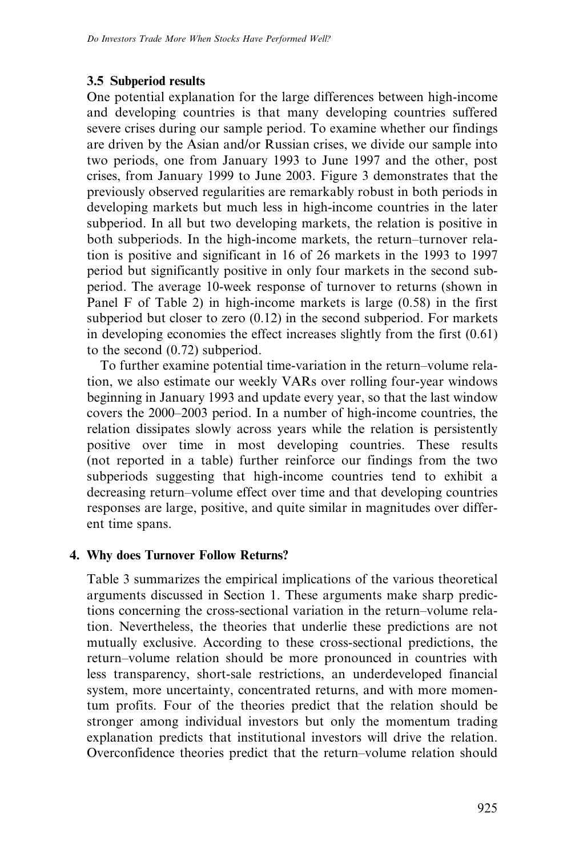# 3.5 Subperiod results

One potential explanation for the large differences between high-income and developing countries is that many developing countries suffered severe crises during our sample period. To examine whether our findings are driven by the Asian and/or Russian crises, we divide our sample into two periods, one from January 1993 to June 1997 and the other, post crises, from January 1999 to June 2003. Figure 3 demonstrates that the previously observed regularities are remarkably robust in both periods in developing markets but much less in high-income countries in the later subperiod. In all but two developing markets, the relation is positive in both subperiods. In the high-income markets, the return–turnover relation is positive and significant in 16 of 26 markets in the 1993 to 1997 period but significantly positive in only four markets in the second subperiod. The average 10-week response of turnover to returns (shown in Panel F of Table 2) in high-income markets is large (0.58) in the first subperiod but closer to zero (0.12) in the second subperiod. For markets in developing economies the effect increases slightly from the first (0.61) to the second (0.72) subperiod.

To further examine potential time-variation in the return–volume relation, we also estimate our weekly VARs over rolling four-year windows beginning in January 1993 and update every year, so that the last window covers the 2000–2003 period. In a number of high-income countries, the relation dissipates slowly across years while the relation is persistently positive over time in most developing countries. These results (not reported in a table) further reinforce our findings from the two subperiods suggesting that high-income countries tend to exhibit a decreasing return–volume effect over time and that developing countries responses are large, positive, and quite similar in magnitudes over different time spans.

# 4. Why does Turnover Follow Returns?

Table 3 summarizes the empirical implications of the various theoretical arguments discussed in Section 1. These arguments make sharp predictions concerning the cross-sectional variation in the return–volume relation. Nevertheless, the theories that underlie these predictions are not mutually exclusive. According to these cross-sectional predictions, the return–volume relation should be more pronounced in countries with less transparency, short-sale restrictions, an underdeveloped financial system, more uncertainty, concentrated returns, and with more momentum profits. Four of the theories predict that the relation should be stronger among individual investors but only the momentum trading explanation predicts that institutional investors will drive the relation. Overconfidence theories predict that the return–volume relation should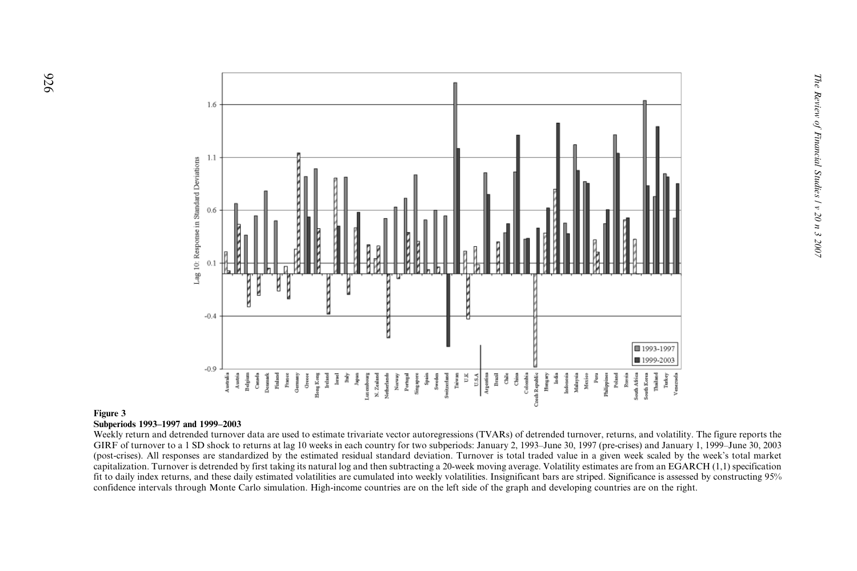

#### Figure 3

#### Subperiods 1993–1997 and 1999–2003

Weekly return and detrended turnover data are used to estimate trivariate vector autoregressions (TVARs) of detrended turnover, returns, and volatility. The figure reports the GIRF of turnover to a 1 SD shock to returns at lag 10 weeks in each country for two subperiods: January 2, 1993–June 30, 1997 (pre-crises) and January 1, 1999–June 30, 2003 (post-crises). All responses are standardized by the estimated residual standard deviation. Turnover is total traded value in <sup>a</sup> given week scaled by the week's total market capitalization. Turnover is detrended by first taking its natural log and then subtracting a 20-week moving average. Volatility estimates are from an EGARCH (1,1) specification fit to daily index returns, and these daily estimated volatilities are cumulated into weekly volatilities. Insignificant bars are striped. Significance is assessed by constructing 95% confidence intervals through Monte Carlo simulation. High-income countries are on the left side of the graph and developing countries are on the right.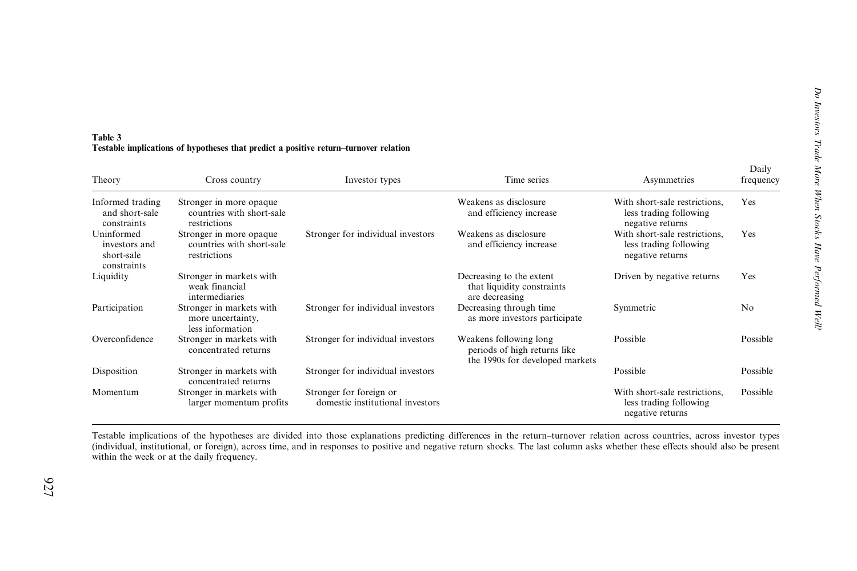#### Table 3Testable implications of hypotheses that predict <sup>a</sup> positive return–turnover relation

| Theory                                                   | Cross country                                                        | Investor types                                              | Time series                                                                               | Asymmetries                                                                 | Daily<br>frequency |
|----------------------------------------------------------|----------------------------------------------------------------------|-------------------------------------------------------------|-------------------------------------------------------------------------------------------|-----------------------------------------------------------------------------|--------------------|
| Informed trading<br>and short-sale<br>constraints        | Stronger in more opaque<br>countries with short-sale<br>restrictions |                                                             | Weakens as disclosure<br>and efficiency increase                                          | With short-sale restrictions.<br>less trading following<br>negative returns | Yes                |
| Uninformed<br>investors and<br>short-sale<br>constraints | Stronger in more opaque<br>countries with short-sale<br>restrictions | Stronger for individual investors                           | Weakens as disclosure<br>and efficiency increase                                          | With short-sale restrictions.<br>less trading following<br>negative returns | Yes                |
| Liquidity                                                | Stronger in markets with<br>weak financial<br>intermediaries         |                                                             | Decreasing to the extent<br>that liquidity constraints<br>are decreasing                  | Driven by negative returns                                                  | Yes                |
| Participation                                            | Stronger in markets with<br>more uncertainty,<br>less information    | Stronger for individual investors                           | Decreasing through time<br>as more investors participate                                  | Symmetric                                                                   | No.                |
| Overconfidence                                           | Stronger in markets with<br>concentrated returns                     | Stronger for individual investors                           | Weakens following long<br>periods of high returns like<br>the 1990s for developed markets | Possible                                                                    | Possible           |
| Disposition                                              | Stronger in markets with<br>concentrated returns                     | Stronger for individual investors                           |                                                                                           | Possible                                                                    | Possible           |
| Momentum                                                 | Stronger in markets with<br>larger momentum profits                  | Stronger for foreign or<br>domestic institutional investors |                                                                                           | With short-sale restrictions.<br>less trading following<br>negative returns | Possible           |

Testable implications of the hypotheses are divided into those explanations predicting differences in the return-turnover relation across countries, across investor types<br>(individual, institutional, or foreign), across tim within the week or at the daily frequency.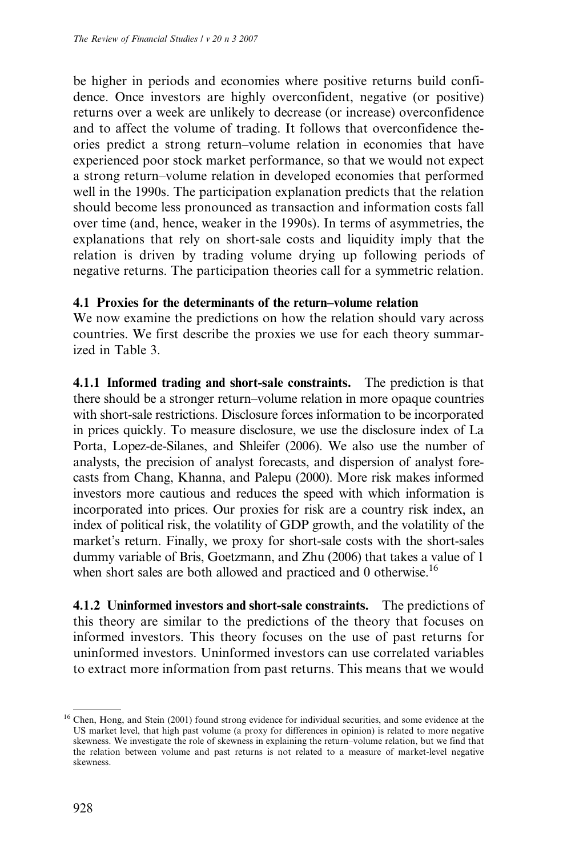be higher in periods and economies where positive returns build confidence. Once investors are highly overconfident, negative (or positive) returns over a week are unlikely to decrease (or increase) overconfidence and to affect the volume of trading. It follows that overconfidence theories predict a strong return–volume relation in economies that have experienced poor stock market performance, so that we would not expect a strong return–volume relation in developed economies that performed well in the 1990s. The participation explanation predicts that the relation should become less pronounced as transaction and information costs fall over time (and, hence, weaker in the 1990s). In terms of asymmetries, the explanations that rely on short-sale costs and liquidity imply that the relation is driven by trading volume drying up following periods of negative returns. The participation theories call for a symmetric relation.

# 4.1 Proxies for the determinants of the return–volume relation

We now examine the predictions on how the relation should vary across countries. We first describe the proxies we use for each theory summarized in Table 3.

4.1.1 Informed trading and short-sale constraints. The prediction is that there should be a stronger return–volume relation in more opaque countries with short-sale restrictions. Disclosure forces information to be incorporated in prices quickly. To measure disclosure, we use the disclosure index of La Porta, Lopez-de-Silanes, and Shleifer (2006). We also use the number of analysts, the precision of analyst forecasts, and dispersion of analyst forecasts from Chang, Khanna, and Palepu (2000). More risk makes informed investors more cautious and reduces the speed with which information is incorporated into prices. Our proxies for risk are a country risk index, an index of political risk, the volatility of GDP growth, and the volatility of the market's return. Finally, we proxy for short-sale costs with the short-sales dummy variable of Bris, Goetzmann, and Zhu (2006) that takes a value of 1 when short sales are both allowed and practiced and 0 otherwise.<sup>16</sup>

4.1.2 Uninformed investors and short-sale constraints. The predictions of this theory are similar to the predictions of the theory that focuses on informed investors. This theory focuses on the use of past returns for uninformed investors. Uninformed investors can use correlated variables to extract more information from past returns. This means that we would

<sup>&</sup>lt;sup>16</sup> Chen, Hong, and Stein (2001) found strong evidence for individual securities, and some evidence at the US market level, that high past volume (a proxy for differences in opinion) is related to more negative skewness. We investigate the role of skewness in explaining the return–volume relation, but we find that the relation between volume and past returns is not related to a measure of market-level negative skewness.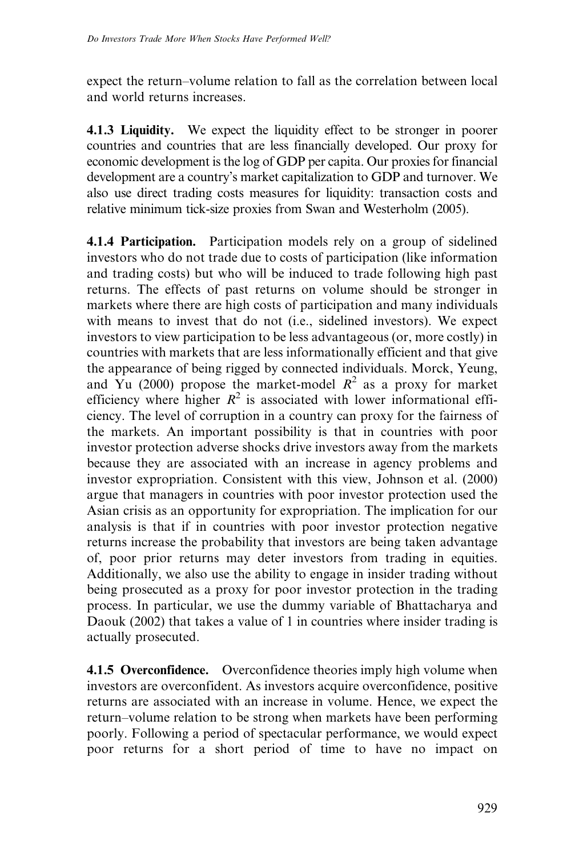expect the return–volume relation to fall as the correlation between local and world returns increases.

4.1.3 Liquidity. We expect the liquidity effect to be stronger in poorer countries and countries that are less financially developed. Our proxy for economic development is the log of GDP per capita. Our proxies for financial development are a country's market capitalization to GDP and turnover. We also use direct trading costs measures for liquidity: transaction costs and relative minimum tick-size proxies from Swan and Westerholm (2005).

4.1.4 Participation. Participation models rely on a group of sidelined investors who do not trade due to costs of participation (like information and trading costs) but who will be induced to trade following high past returns. The effects of past returns on volume should be stronger in markets where there are high costs of participation and many individuals with means to invest that do not (i.e., sidelined investors). We expect investors to view participation to be less advantageous (or, more costly) in countries with markets that are less informationally efficient and that give the appearance of being rigged by connected individuals. Morck, Yeung, and Yu (2000) propose the market-model  $R^2$  as a proxy for market efficiency where higher  $R^2$  is associated with lower informational efficiency. The level of corruption in a country can proxy for the fairness of the markets. An important possibility is that in countries with poor investor protection adverse shocks drive investors away from the markets because they are associated with an increase in agency problems and investor expropriation. Consistent with this view, Johnson et al. (2000) argue that managers in countries with poor investor protection used the Asian crisis as an opportunity for expropriation. The implication for our analysis is that if in countries with poor investor protection negative returns increase the probability that investors are being taken advantage of, poor prior returns may deter investors from trading in equities. Additionally, we also use the ability to engage in insider trading without being prosecuted as a proxy for poor investor protection in the trading process. In particular, we use the dummy variable of Bhattacharya and Daouk (2002) that takes a value of 1 in countries where insider trading is actually prosecuted.

**4.1.5 Overconfidence.** Overconfidence theories imply high volume when investors are overconfident. As investors acquire overconfidence, positive returns are associated with an increase in volume. Hence, we expect the return–volume relation to be strong when markets have been performing poorly. Following a period of spectacular performance, we would expect poor returns for a short period of time to have no impact on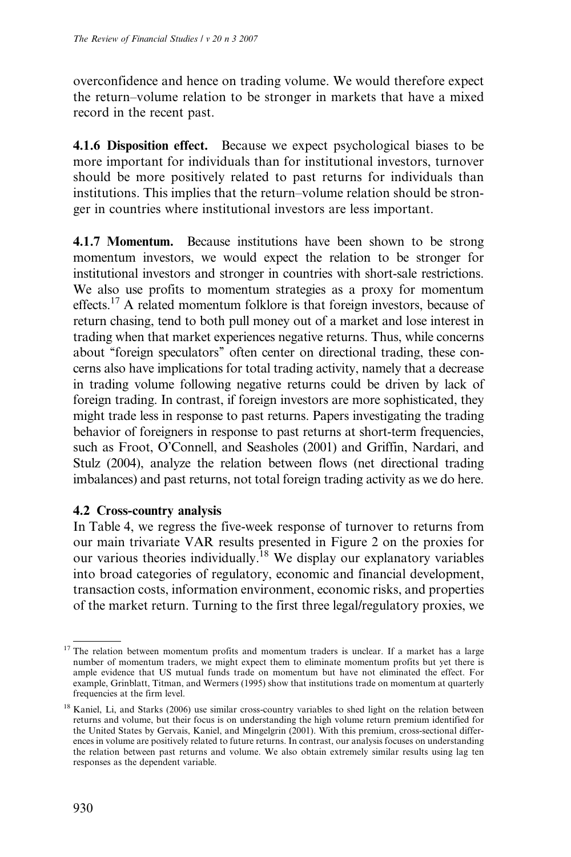overconfidence and hence on trading volume. We would therefore expect the return–volume relation to be stronger in markets that have a mixed record in the recent past.

4.1.6 Disposition effect. Because we expect psychological biases to be more important for individuals than for institutional investors, turnover should be more positively related to past returns for individuals than institutions. This implies that the return–volume relation should be stronger in countries where institutional investors are less important.

4.1.7 Momentum. Because institutions have been shown to be strong momentum investors, we would expect the relation to be stronger for institutional investors and stronger in countries with short-sale restrictions. We also use profits to momentum strategies as a proxy for momentum effects.<sup>17</sup> A related momentum folklore is that foreign investors, because of return chasing, tend to both pull money out of a market and lose interest in trading when that market experiences negative returns. Thus, while concerns about "foreign speculators" often center on directional trading, these concerns also have implications for total trading activity, namely that a decrease in trading volume following negative returns could be driven by lack of foreign trading. In contrast, if foreign investors are more sophisticated, they might trade less in response to past returns. Papers investigating the trading behavior of foreigners in response to past returns at short-term frequencies, such as Froot, O'Connell, and Seasholes (2001) and Griffin, Nardari, and Stulz (2004), analyze the relation between flows (net directional trading imbalances) and past returns, not total foreign trading activity as we do here.

# 4.2 Cross-country analysis

In Table 4, we regress the five-week response of turnover to returns from our main trivariate VAR results presented in Figure 2 on the proxies for our various theories individually.18 We display our explanatory variables into broad categories of regulatory, economic and financial development, transaction costs, information environment, economic risks, and properties of the market return. Turning to the first three legal/regulatory proxies, we

<sup>&</sup>lt;sup>17</sup> The relation between momentum profits and momentum traders is unclear. If a market has a large number of momentum traders, we might expect them to eliminate momentum profits but yet there is ample evidence that US mutual funds trade on momentum but have not eliminated the effect. For example, Grinblatt, Titman, and Wermers (1995) show that institutions trade on momentum at quarterly frequencies at the firm level.

<sup>&</sup>lt;sup>18</sup> Kaniel, Li, and Starks (2006) use similar cross-country variables to shed light on the relation between returns and volume, but their focus is on understanding the high volume return premium identified for the United States by Gervais, Kaniel, and Mingelgrin (2001). With this premium, cross-sectional differences in volume are positively related to future returns. In contrast, our analysis focuses on understanding the relation between past returns and volume. We also obtain extremely similar results using lag ten responses as the dependent variable.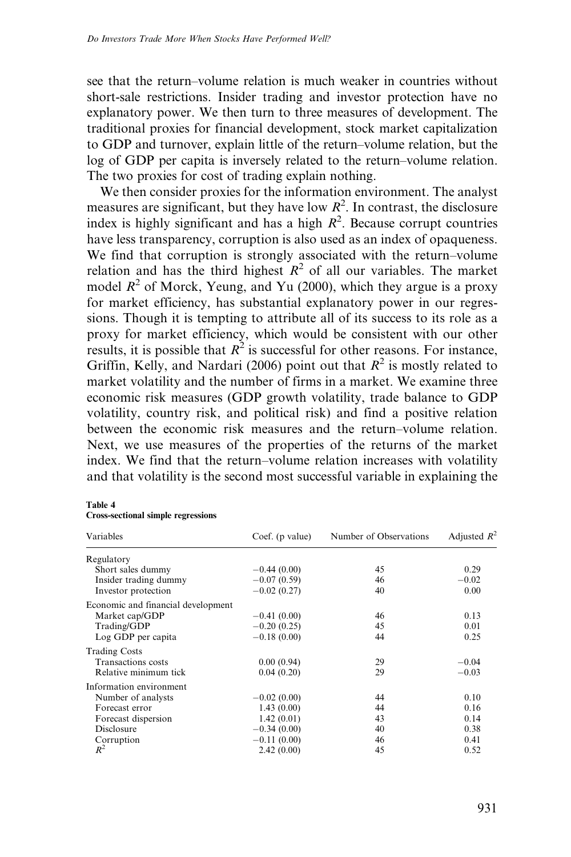see that the return–volume relation is much weaker in countries without short-sale restrictions. Insider trading and investor protection have no explanatory power. We then turn to three measures of development. The traditional proxies for financial development, stock market capitalization to GDP and turnover, explain little of the return–volume relation, but the log of GDP per capita is inversely related to the return–volume relation. The two proxies for cost of trading explain nothing.

We then consider proxies for the information environment. The analyst measures are significant, but they have low  $R^2$ . In contrast, the disclosure index is highly significant and has a high  $R^2$ . Because corrupt countries have less transparency, corruption is also used as an index of opaqueness. We find that corruption is strongly associated with the return–volume relation and has the third highest  $R^2$  of all our variables. The market model  $R^2$  of Morck, Yeung, and Yu (2000), which they argue is a proxy for market efficiency, has substantial explanatory power in our regressions. Though it is tempting to attribute all of its success to its role as a proxy for market efficiency, which would be consistent with our other results, it is possible that  $R^2$  is successful for other reasons. For instance, Griffin, Kelly, and Nardari (2006) point out that  $R^2$  is mostly related to market volatility and the number of firms in a market. We examine three economic risk measures (GDP growth volatility, trade balance to GDP volatility, country risk, and political risk) and find a positive relation between the economic risk measures and the return–volume relation. Next, we use measures of the properties of the returns of the market index. We find that the return–volume relation increases with volatility and that volatility is the second most successful variable in explaining the

#### Table 4

| <b>Cross-sectional simple regressions</b> |  |
|-------------------------------------------|--|
|                                           |  |

| Variables                          | $Coef.$ (p value) | Number of Observations | Adjusted $R^2$ |
|------------------------------------|-------------------|------------------------|----------------|
| Regulatory                         |                   |                        |                |
| Short sales dummy                  | $-0.44(0.00)$     | 45                     | 0.29           |
| Insider trading dummy              | $-0.07(0.59)$     | 46                     | $-0.02$        |
| Investor protection                | $-0.02(0.27)$     | 40                     | 0.00           |
| Economic and financial development |                   |                        |                |
| Market cap/GDP                     | $-0.41(0.00)$     | 46                     | 0.13           |
| Trading/GDP                        | $-0.20(0.25)$     | 45                     | 0.01           |
| Log GDP per capita                 | $-0.18(0.00)$     | 44                     | 0.25           |
| <b>Trading Costs</b>               |                   |                        |                |
| Transactions costs                 | 0.00(0.94)        | 29                     | $-0.04$        |
| Relative minimum tick              | 0.04(0.20)        | 29                     | $-0.03$        |
| Information environment            |                   |                        |                |
| Number of analysts                 | $-0.02(0.00)$     | 44                     | 0.10           |
| Forecast error                     | 1.43(0.00)        | 44                     | 0.16           |
| Forecast dispersion                | 1.42(0.01)        | 43                     | 0.14           |
| Disclosure                         | $-0.34(0.00)$     | 40                     | 0.38           |
| Corruption                         | $-0.11(0.00)$     | 46                     | 0.41           |
| $R^2$                              | 2.42(0.00)        | 45                     | 0.52           |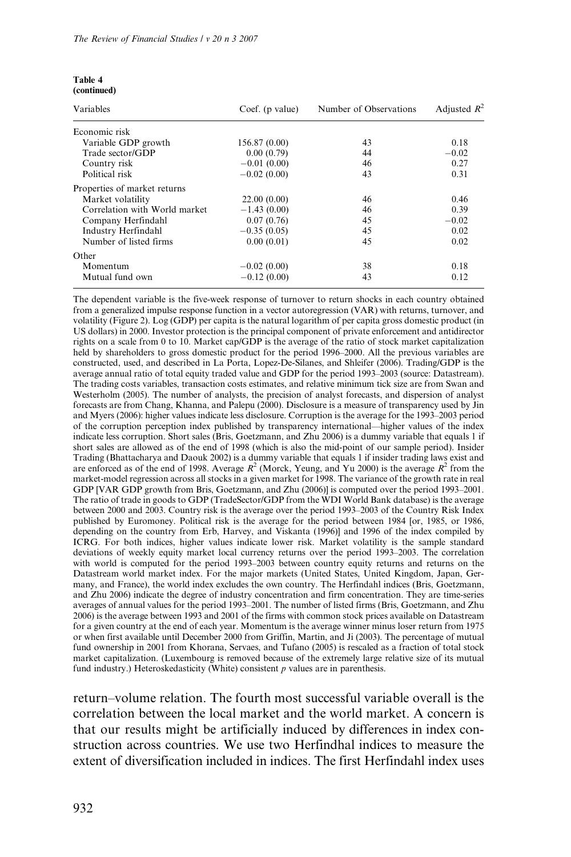| Variables                     | $Coef.$ (p value) | Number of Observations | Adjusted $R^2$ |
|-------------------------------|-------------------|------------------------|----------------|
| Economic risk                 |                   |                        |                |
| Variable GDP growth           | 156.87 (0.00)     | 43                     | 0.18           |
| Trade sector/GDP              | 0.00(0.79)        | 44                     | $-0.02$        |
| Country risk                  | $-0.01(0.00)$     | 46                     | 0.27           |
| Political risk                | $-0.02(0.00)$     | 43                     | 0.31           |
| Properties of market returns  |                   |                        |                |
| Market volatility             | 22.00(0.00)       | 46                     | 0.46           |
| Correlation with World market | $-1.43(0.00)$     | 46                     | 0.39           |
| Company Herfindahl            | 0.07(0.76)        | 45                     | $-0.02$        |
| Industry Herfindahl           | $-0.35(0.05)$     | 45                     | 0.02           |
| Number of listed firms        | 0.00(0.01)        | 45                     | 0.02           |
| Other                         |                   |                        |                |
| Momentum                      | $-0.02(0.00)$     | 38                     | 0.18           |
| Mutual fund own               | $-0.12(0.00)$     | 43                     | 0.12           |

#### Table 4 (continued)

The dependent variable is the five-week response of turnover to return shocks in each country obtained from a generalized impulse response function in a vector autoregression (VAR) with returns, turnover, and volatility (Figure 2). Log (GDP) per capita is the natural logarithm of per capita gross domestic product (in US dollars) in 2000. Investor protection is the principal component of private enforcement and antidirector rights on a scale from 0 to 10. Market cap/GDP is the average of the ratio of stock market capitalization held by shareholders to gross domestic product for the period 1996–2000. All the previous variables are constructed, used, and described in La Porta, Lopez-De-Silanes, and Shleifer (2006). Trading/GDP is the average annual ratio of total equity traded value and GDP for the period 1993–2003 (source: Datastream). The trading costs variables, transaction costs estimates, and relative minimum tick size are from Swan and Westerholm (2005). The number of analysts, the precision of analyst forecasts, and dispersion of analyst forecasts are from Chang, Khanna, and Palepu (2000). Disclosure is a measure of transparency used by Jin and Myers (2006): higher values indicate less disclosure. Corruption is the average for the 1993–2003 period of the corruption perception index published by transparency international—higher values of the index indicate less corruption. Short sales (Bris, Goetzmann, and Zhu 2006) is a dummy variable that equals 1 if short sales are allowed as of the end of 1998 (which is also the mid-point of our sample period). Insider Trading (Bhattacharya and Daouk 2002) is a dummy variable that equals 1 if insider trading laws exist and are enforced as of the end of 1998. Average  $R^2$  (Morck, Yeung, and Yu 2000) is the average  $R^2$  from the market-model regression across all stocks in a given market for 1998. The variance of the growth rate in real GDP [VAR GDP growth from Bris, Goetzmann, and Zhu (2006)] is computed over the period 1993–2001. The ratio of trade in goods to GDP (TradeSector/GDP from the WDI World Bank database) is the average between 2000 and 2003. Country risk is the average over the period 1993–2003 of the Country Risk Index published by Euromoney. Political risk is the average for the period between 1984 [or, 1985, or 1986, depending on the country from Erb, Harvey, and Viskanta (1996)] and 1996 of the index compiled by ICRG. For both indices, higher values indicate lower risk. Market volatility is the sample standard deviations of weekly equity market local currency returns over the period 1993–2003. The correlation with world is computed for the period 1993–2003 between country equity returns and returns on the Datastream world market index. For the major markets (United States, United Kingdom, Japan, Germany, and France), the world index excludes the own country. The Herfindahl indices (Bris, Goetzmann, and Zhu 2006) indicate the degree of industry concentration and firm concentration. They are time-series averages of annual values for the period 1993–2001. The number of listed firms (Bris, Goetzmann, and Zhu 2006) is the average between 1993 and 2001 of the firms with common stock prices available on Datastream for a given country at the end of each year. Momentum is the average winner minus loser return from 1975 or when first available until December 2000 from Griffin, Martin, and Ji (2003). The percentage of mutual fund ownership in 2001 from Khorana, Servaes, and Tufano (2005) is rescaled as a fraction of total stock market capitalization. (Luxembourg is removed because of the extremely large relative size of its mutual fund industry.) Heteroskedasticity (White) consistent  $p$  values are in parenthesis.

return–volume relation. The fourth most successful variable overall is the correlation between the local market and the world market. A concern is that our results might be artificially induced by differences in index construction across countries. We use two Herfindhal indices to measure the extent of diversification included in indices. The first Herfindahl index uses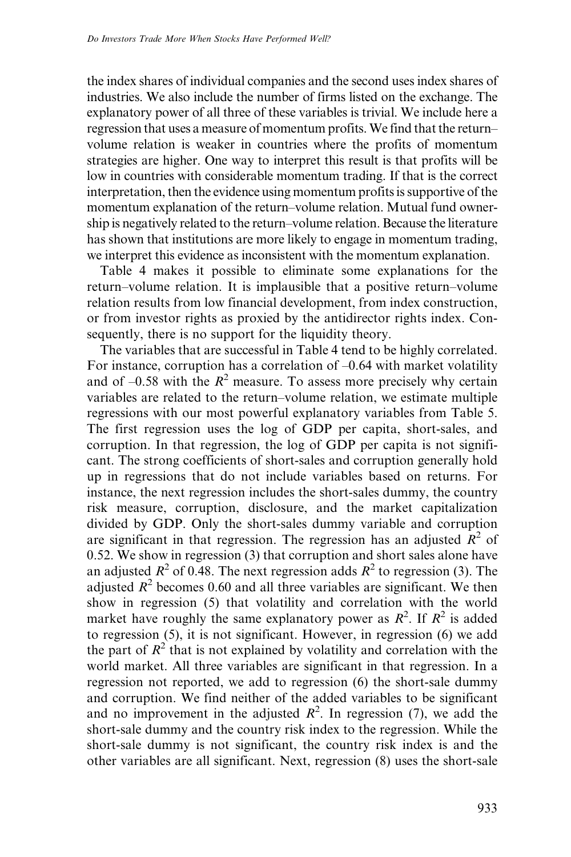the index shares of individual companies and the second uses index shares of industries. We also include the number of firms listed on the exchange. The explanatory power of all three of these variables is trivial. We include here a regression that uses a measure of momentum profits.We find that the return– volume relation is weaker in countries where the profits of momentum strategies are higher. One way to interpret this result is that profits will be low in countries with considerable momentum trading. If that is the correct interpretation, then the evidence using momentum profits is supportive of the momentum explanation of the return–volume relation. Mutual fund ownership is negatively related to the return–volume relation. Because the literature has shown that institutions are more likely to engage in momentum trading, we interpret this evidence as inconsistent with the momentum explanation.

Table 4 makes it possible to eliminate some explanations for the return–volume relation. It is implausible that a positive return–volume relation results from low financial development, from index construction, or from investor rights as proxied by the antidirector rights index. Consequently, there is no support for the liquidity theory.

The variables that are successful in Table 4 tend to be highly correlated. For instance, corruption has a correlation of –0.64 with market volatility and of  $-0.58$  with the  $R^2$  measure. To assess more precisely why certain variables are related to the return–volume relation, we estimate multiple regressions with our most powerful explanatory variables from Table 5. The first regression uses the log of GDP per capita, short-sales, and corruption. In that regression, the log of GDP per capita is not significant. The strong coefficients of short-sales and corruption generally hold up in regressions that do not include variables based on returns. For instance, the next regression includes the short-sales dummy, the country risk measure, corruption, disclosure, and the market capitalization divided by GDP. Only the short-sales dummy variable and corruption are significant in that regression. The regression has an adjusted  $\overline{R}^2$  of 0.52. We show in regression (3) that corruption and short sales alone have an adjusted  $R^2$  of 0.48. The next regression adds  $R^2$  to regression (3). The adjusted  $R^2$  becomes 0.60 and all three variables are significant. We then show in regression (5) that volatility and correlation with the world market have roughly the same explanatory power as  $R^2$ . If  $R^2$  is added to regression (5), it is not significant. However, in regression (6) we add the part of  $\mathbb{R}^2$  that is not explained by volatility and correlation with the world market. All three variables are significant in that regression. In a regression not reported, we add to regression (6) the short-sale dummy and corruption. We find neither of the added variables to be significant and no improvement in the adjusted  $R^2$ . In regression (7), we add the short-sale dummy and the country risk index to the regression. While the short-sale dummy is not significant, the country risk index is and the other variables are all significant. Next, regression (8) uses the short-sale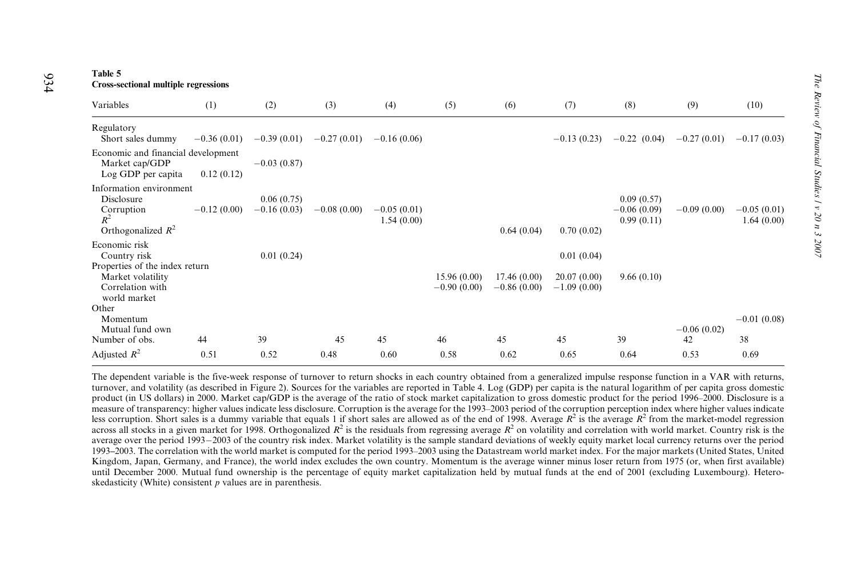#### Table 5Cross-sectional multiple regressions

| Variables                                                                                                                | (1)           | (2)                         | (3)           | (4)                         | (5)                           | (6)                          | (7)                                        | (8)                                       | (9)                 | (10)                        |
|--------------------------------------------------------------------------------------------------------------------------|---------------|-----------------------------|---------------|-----------------------------|-------------------------------|------------------------------|--------------------------------------------|-------------------------------------------|---------------------|-----------------------------|
| Regulatory<br>Short sales dummy                                                                                          | $-0.36(0.01)$ | $-0.39(0.01)$               | $-0.27(0.01)$ | $-0.16(0.06)$               |                               |                              | $-0.13(0.23)$                              | $-0.22(0.04)$                             | $-0.27(0.01)$       | $-0.17(0.03)$               |
| Economic and financial development<br>Market cap/GDP<br>Log GDP per capita                                               | 0.12(0.12)    | $-0.03(0.87)$               |               |                             |                               |                              |                                            |                                           |                     |                             |
| Information environment<br>Disclosure<br>Corruption<br>$R^2$<br>Orthogonalized $R^2$                                     | $-0.12(0.00)$ | 0.06(0.75)<br>$-0.16(0.03)$ | $-0.08(0.00)$ | $-0.05(0.01)$<br>1.54(0.00) |                               | 0.64(0.04)                   | 0.70(0.02)                                 | 0.09(0.57)<br>$-0.06(0.09)$<br>0.99(0.11) | $-0.09(0.00)$       | $-0.05(0.01)$<br>1.64(0.00) |
| Economic risk<br>Country risk<br>Properties of the index return<br>Market volatility<br>Correlation with<br>world market |               | 0.01(0.24)                  |               |                             | 15.96 (0.00)<br>$-0.90(0.00)$ | 17.46(0.00)<br>$-0.86(0.00)$ | 0.01(0.04)<br>20.07(0.00)<br>$-1.09(0.00)$ | 9.66(0.10)                                |                     |                             |
| Other<br>Momentum<br>Mutual fund own<br>Number of obs.                                                                   | 44            | 39                          | 45            | 45                          | 46                            | 45                           | 45                                         | 39                                        | $-0.06(0.02)$<br>42 | $-0.01(0.08)$<br>38         |
| Adjusted $R^2$                                                                                                           | 0.51          | 0.52                        | 0.48          | 0.60                        | 0.58                          | 0.62                         | 0.65                                       | 0.64                                      | 0.53                | 0.69                        |

The dependent variable is the five-week response of turnover to return shocks in each country obtained from <sup>a</sup> generalized impulse response function in <sup>a</sup> VAR with returns, turnover, and volatility (as described in Figure 2). Sources for the variables are reported in Table 4. Log (GDP) per capita is the natural logarithm of per capita gross domestic product (in US dollars) in 2000. Market cap/GDP is the average of the ratio of stock market capitalization to gross domestic product for the period 1996–2000. Disclosure is <sup>a</sup> measure of transparency: higher values indicate less disclosure. Corruption is the average for the 1993–2003 period of the corruption perception index where higher values indicate less corruption. Short sales is a dummy variable that equals 1 if short sales are allowed as of the end of 1998. Average  $R^2$  is the average  $R^2$  from the market-model regression across all stocks in a given market for 1998. Orthogonalized  $R^2$  is the residuals from regressing average  $R^2$  on volatility and correlation with world market. Country risk is the average over the period 1993-2003 of the country risk index. Market volatility is the sample standard deviations of weekly equity market local currency returns over the period 1993–2003. The correlation with the world market is computed for the period 1993–2003 using the Datastream world market index. For the major markets (United States, United Kingdom, Japan, Germany, and France), the world index excludes the own country. Momentum is the average winner minus loser return from 1975 (or, when first available) until December 2000. Mutual fund ownership is the percentage of equity market capitalization held by mutual funds at the end of 2001 (excluding Luxembourg). Heteroskedasticity (White) consistent  $p$  values are in parenthesis.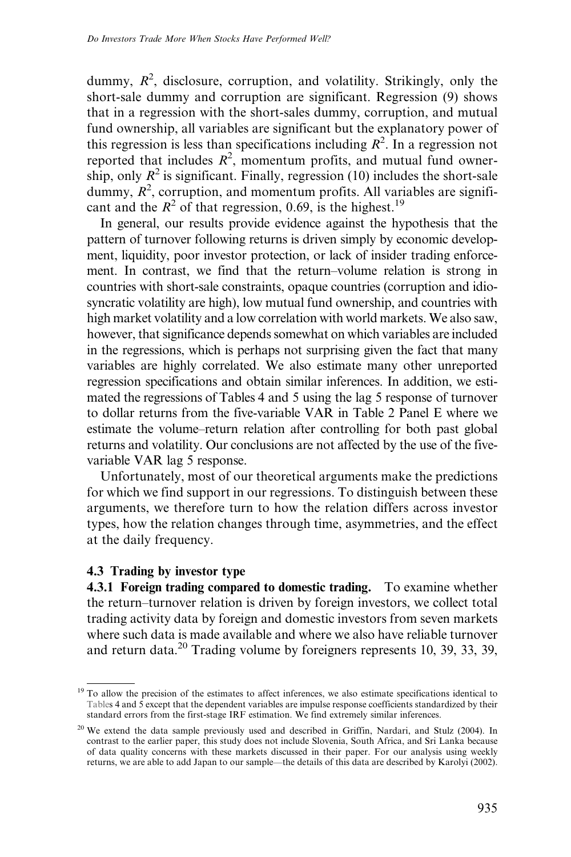dummy,  $R^2$ , disclosure, corruption, and volatility. Strikingly, only the short-sale dummy and corruption are significant. Regression (9) shows that in a regression with the short-sales dummy, corruption, and mutual fund ownership, all variables are significant but the explanatory power of this regression is less than specifications including  $R^2$ . In a regression not reported that includes  $R^2$ , momentum profits, and mutual fund ownership, only  $R^2$  is significant. Finally, regression (10) includes the short-sale dummy,  $R^2$ , corruption, and momentum profits. All variables are significant and the  $R^2$  of that regression, 0.69, is the highest.<sup>19</sup>

In general, our results provide evidence against the hypothesis that the pattern of turnover following returns is driven simply by economic development, liquidity, poor investor protection, or lack of insider trading enforcement. In contrast, we find that the return–volume relation is strong in countries with short-sale constraints, opaque countries (corruption and idiosyncratic volatility are high), low mutual fund ownership, and countries with high market volatility and a low correlation with world markets. We also saw, however, that significance depends somewhat on which variables are included in the regressions, which is perhaps not surprising given the fact that many variables are highly correlated. We also estimate many other unreported regression specifications and obtain similar inferences. In addition, we estimated the regressions of Tables 4 and 5 using the lag 5 response of turnover to dollar returns from the five-variable VAR in Table 2 Panel E where we estimate the volume–return relation after controlling for both past global returns and volatility. Our conclusions are not affected by the use of the fivevariable VAR lag 5 response.

Unfortunately, most of our theoretical arguments make the predictions for which we find support in our regressions. To distinguish between these arguments, we therefore turn to how the relation differs across investor types, how the relation changes through time, asymmetries, and the effect at the daily frequency.

### 4.3 Trading by investor type

4.3.1 Foreign trading compared to domestic trading. To examine whether the return–turnover relation is driven by foreign investors, we collect total trading activity data by foreign and domestic investors from seven markets where such data is made available and where we also have reliable turnover and return data.<sup>20</sup> Trading volume by foreigners represents 10, 39, 33, 39,

<sup>&</sup>lt;sup>19</sup> To allow the precision of the estimates to affect inferences, we also estimate specifications identical to Tables 4 and 5 except that the dependent variables are impulse response coefficients standardized by their standard errors from the first-stage IRF estimation. We find extremely similar inferences.

<sup>&</sup>lt;sup>20</sup> We extend the data sample previously used and described in Griffin, Nardari, and Stulz (2004). In contrast to the earlier paper, this study does not include Slovenia, South Africa, and Sri Lanka because of data quality concerns with these markets discussed in their paper. For our analysis using weekly returns, we are able to add Japan to our sample—the details of this data are described by Karolyi (2002).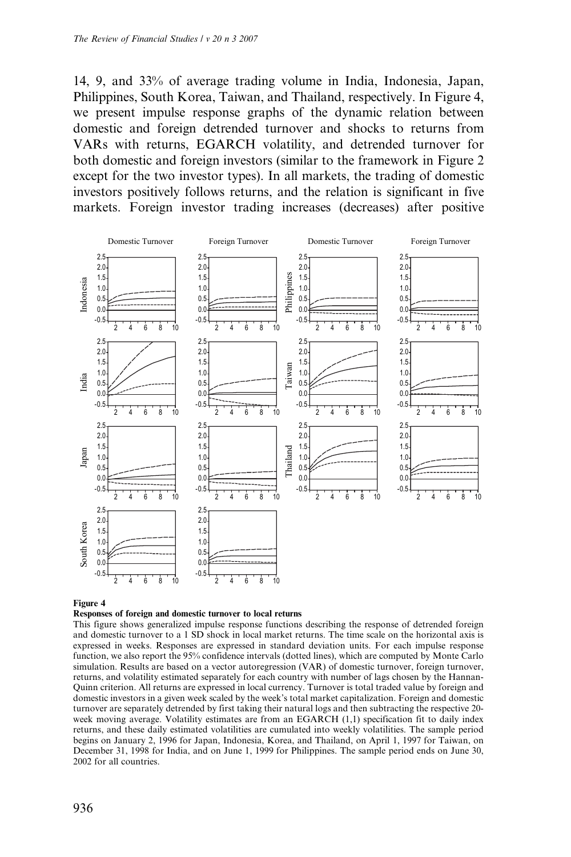14, 9, and 33% of average trading volume in India, Indonesia, Japan, Philippines, South Korea, Taiwan, and Thailand, respectively. In Figure 4, we present impulse response graphs of the dynamic relation between domestic and foreign detrended turnover and shocks to returns from VARs with returns, EGARCH volatility, and detrended turnover for both domestic and foreign investors (similar to the framework in Figure 2 except for the two investor types). In all markets, the trading of domestic investors positively follows returns, and the relation is significant in five markets. Foreign investor trading increases (decreases) after positive



#### Figure 4

#### Responses of foreign and domestic turnover to local returns

This figure shows generalized impulse response functions describing the response of detrended foreign and domestic turnover to a 1 SD shock in local market returns. The time scale on the horizontal axis is expressed in weeks. Responses are expressed in standard deviation units. For each impulse response function, we also report the 95% confidence intervals (dotted lines), which are computed by Monte Carlo simulation. Results are based on a vector autoregression (VAR) of domestic turnover, foreign turnover, returns, and volatility estimated separately for each country with number of lags chosen by the Hannan-Quinn criterion. All returns are expressed in local currency. Turnover is total traded value by foreign and domestic investors in a given week scaled by the week's total market capitalization. Foreign and domestic turnover are separately detrended by first taking their natural logs and then subtracting the respective 20 week moving average. Volatility estimates are from an EGARCH (1,1) specification fit to daily index returns, and these daily estimated volatilities are cumulated into weekly volatilities. The sample period begins on January 2, 1996 for Japan, Indonesia, Korea, and Thailand, on April 1, 1997 for Taiwan, on December 31, 1998 for India, and on June 1, 1999 for Philippines. The sample period ends on June 30, 2002 for all countries.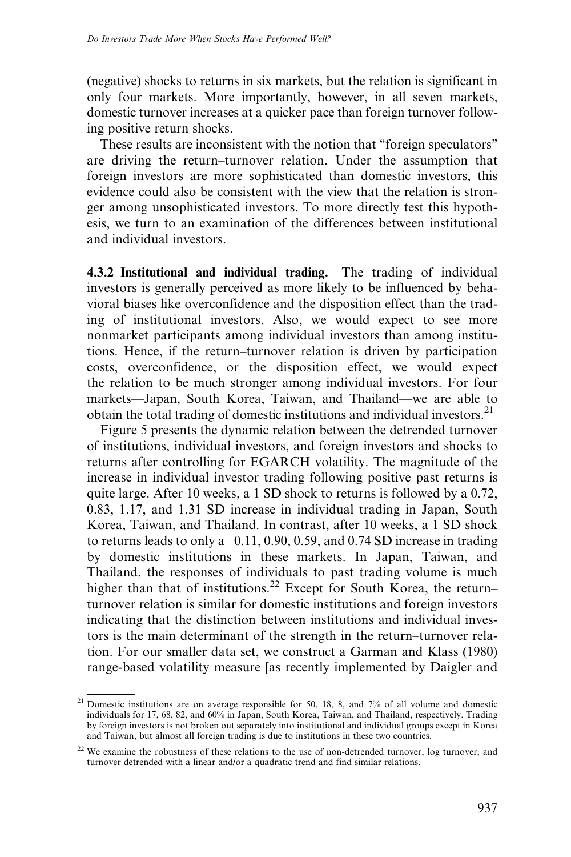(negative) shocks to returns in six markets, but the relation is significant in only four markets. More importantly, however, in all seven markets, domestic turnover increases at a quicker pace than foreign turnover following positive return shocks.

These results are inconsistent with the notion that ''foreign speculators'' are driving the return–turnover relation. Under the assumption that foreign investors are more sophisticated than domestic investors, this evidence could also be consistent with the view that the relation is stronger among unsophisticated investors. To more directly test this hypothesis, we turn to an examination of the differences between institutional and individual investors.

4.3.2 Institutional and individual trading. The trading of individual investors is generally perceived as more likely to be influenced by behavioral biases like overconfidence and the disposition effect than the trading of institutional investors. Also, we would expect to see more nonmarket participants among individual investors than among institutions. Hence, if the return–turnover relation is driven by participation costs, overconfidence, or the disposition effect, we would expect the relation to be much stronger among individual investors. For four markets—Japan, South Korea, Taiwan, and Thailand—we are able to obtain the total trading of domestic institutions and individual investors.21

Figure 5 presents the dynamic relation between the detrended turnover of institutions, individual investors, and foreign investors and shocks to returns after controlling for EGARCH volatility. The magnitude of the increase in individual investor trading following positive past returns is quite large. After 10 weeks, a 1 SD shock to returns is followed by a 0.72, 0.83, 1.17, and 1.31 SD increase in individual trading in Japan, South Korea, Taiwan, and Thailand. In contrast, after 10 weeks, a 1 SD shock to returns leads to only a  $-0.11$ , 0.90, 0.59, and 0.74 SD increase in trading by domestic institutions in these markets. In Japan, Taiwan, and Thailand, the responses of individuals to past trading volume is much higher than that of institutions.<sup>22</sup> Except for South Korea, the return– turnover relation is similar for domestic institutions and foreign investors indicating that the distinction between institutions and individual investors is the main determinant of the strength in the return–turnover relation. For our smaller data set, we construct a Garman and Klass (1980) range-based volatility measure [as recently implemented by Daigler and

 $21$  Domestic institutions are on average responsible for 50, 18, 8, and 7% of all volume and domestic individuals for 17, 68, 82, and 60% in Japan, South Korea, Taiwan, and Thailand, respectively. Trading by foreign investors is not broken out separately into institutional and individual groups except in Korea and Taiwan, but almost all foreign trading is due to institutions in these two countries.

<sup>&</sup>lt;sup>22</sup> We examine the robustness of these relations to the use of non-detrended turnover, log turnover, and turnover detrended with a linear and/or a quadratic trend and find similar relations.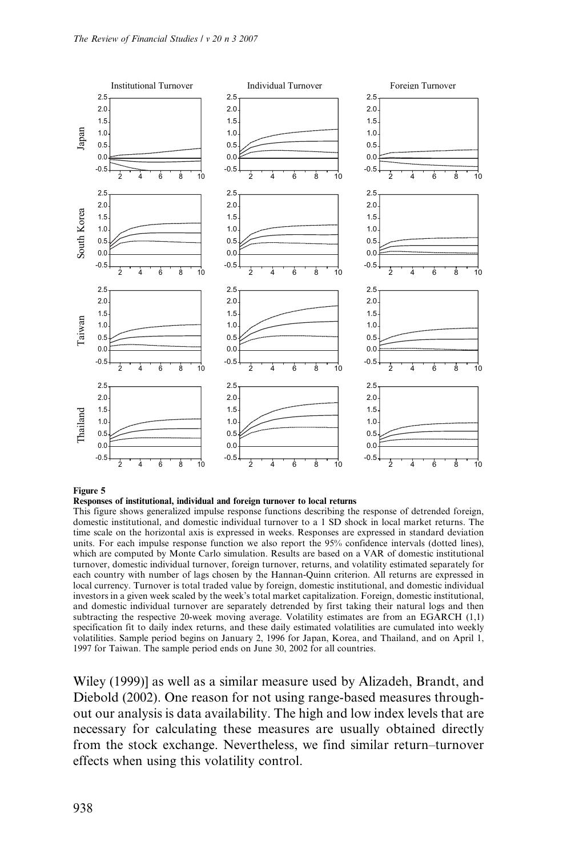

#### Figure 5

#### Responses of institutional, individual and foreign turnover to local returns

This figure shows generalized impulse response functions describing the response of detrended foreign, domestic institutional, and domestic individual turnover to a 1 SD shock in local market returns. The time scale on the horizontal axis is expressed in weeks. Responses are expressed in standard deviation units. For each impulse response function we also report the 95% confidence intervals (dotted lines), which are computed by Monte Carlo simulation. Results are based on a VAR of domestic institutional turnover, domestic individual turnover, foreign turnover, returns, and volatility estimated separately for each country with number of lags chosen by the Hannan-Quinn criterion. All returns are expressed in local currency. Turnover is total traded value by foreign, domestic institutional, and domestic individual investors in a given week scaled by the week's total market capitalization. Foreign, domestic institutional, and domestic individual turnover are separately detrended by first taking their natural logs and then subtracting the respective 20-week moving average. Volatility estimates are from an EGARCH (1,1) specification fit to daily index returns, and these daily estimated volatilities are cumulated into weekly volatilities. Sample period begins on January 2, 1996 for Japan, Korea, and Thailand, and on April 1, 1997 for Taiwan. The sample period ends on June 30, 2002 for all countries.

Wiley (1999)] as well as a similar measure used by Alizadeh, Brandt, and Diebold (2002). One reason for not using range-based measures throughout our analysis is data availability. The high and low index levels that are necessary for calculating these measures are usually obtained directly from the stock exchange. Nevertheless, we find similar return–turnover effects when using this volatility control.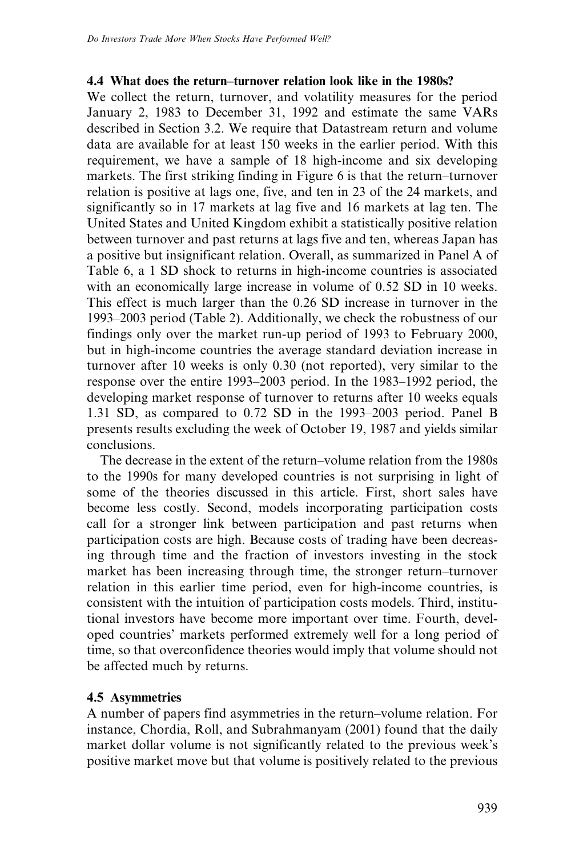### 4.4 What does the return–turnover relation look like in the 1980s?

We collect the return, turnover, and volatility measures for the period January 2, 1983 to December 31, 1992 and estimate the same VARs described in Section 3.2. We require that Datastream return and volume data are available for at least 150 weeks in the earlier period. With this requirement, we have a sample of 18 high-income and six developing markets. The first striking finding in Figure 6 is that the return–turnover relation is positive at lags one, five, and ten in 23 of the 24 markets, and significantly so in 17 markets at lag five and 16 markets at lag ten. The United States and United Kingdom exhibit a statistically positive relation between turnover and past returns at lags five and ten, whereas Japan has a positive but insignificant relation. Overall, as summarized in Panel A of Table 6, a 1 SD shock to returns in high-income countries is associated with an economically large increase in volume of 0.52 SD in 10 weeks. This effect is much larger than the 0.26 SD increase in turnover in the 1993–2003 period (Table 2). Additionally, we check the robustness of our findings only over the market run-up period of 1993 to February 2000, but in high-income countries the average standard deviation increase in turnover after 10 weeks is only 0.30 (not reported), very similar to the response over the entire 1993–2003 period. In the 1983–1992 period, the developing market response of turnover to returns after 10 weeks equals 1.31 SD, as compared to 0.72 SD in the 1993–2003 period. Panel B presents results excluding the week of October 19, 1987 and yields similar conclusions.

The decrease in the extent of the return–volume relation from the 1980s to the 1990s for many developed countries is not surprising in light of some of the theories discussed in this article. First, short sales have become less costly. Second, models incorporating participation costs call for a stronger link between participation and past returns when participation costs are high. Because costs of trading have been decreasing through time and the fraction of investors investing in the stock market has been increasing through time, the stronger return–turnover relation in this earlier time period, even for high-income countries, is consistent with the intuition of participation costs models. Third, institutional investors have become more important over time. Fourth, developed countries' markets performed extremely well for a long period of time, so that overconfidence theories would imply that volume should not be affected much by returns.

# 4.5 Asymmetries

A number of papers find asymmetries in the return–volume relation. For instance, Chordia, Roll, and Subrahmanyam (2001) found that the daily market dollar volume is not significantly related to the previous week's positive market move but that volume is positively related to the previous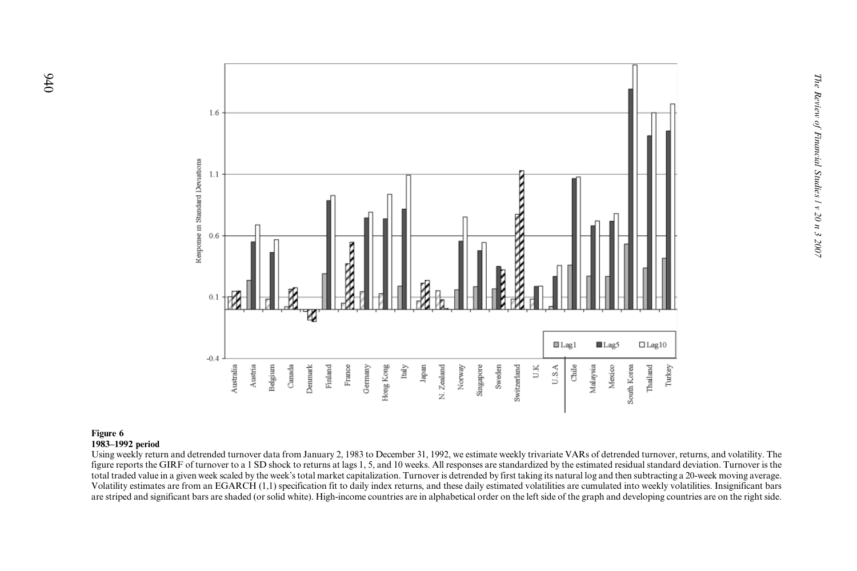

#### 1983–1992 period

Using weekly return and detrended turnover data from January 2, 1983 to December 31, 1992, we estimate weekly trivariate VARs of detrended turnover, returns, and volatility. The figure reports the GIRF of turnover to <sup>a</sup> 1 SD shock to returns at lags 1, 5, and 10 weeks. All responses are standardized by the estimated residual standard deviation. Turnover is the total traded value in <sup>a</sup> given week scaled by the week's total market capitalization. Turnover is detrended by first taking its natural log and then subtracting <sup>a</sup> 20-week moving average. Volatility estimates are from an EGARCH (1,1) specification fit to daily index returns, and these daily estimated volatilities are cumulated into weekly volatilities. Insignificant bars are striped and significant bars are shaded (or solid white). High-income countries are in alphabetical order on the left side of the graph and developing countries are on the right side.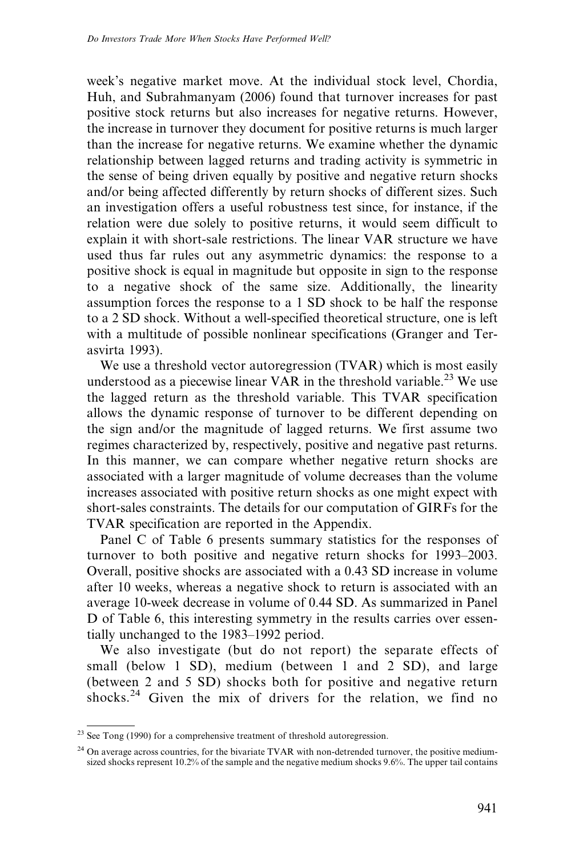week's negative market move. At the individual stock level, Chordia, Huh, and Subrahmanyam (2006) found that turnover increases for past positive stock returns but also increases for negative returns. However, the increase in turnover they document for positive returns is much larger than the increase for negative returns. We examine whether the dynamic relationship between lagged returns and trading activity is symmetric in the sense of being driven equally by positive and negative return shocks and/or being affected differently by return shocks of different sizes. Such an investigation offers a useful robustness test since, for instance, if the relation were due solely to positive returns, it would seem difficult to explain it with short-sale restrictions. The linear VAR structure we have used thus far rules out any asymmetric dynamics: the response to a positive shock is equal in magnitude but opposite in sign to the response to a negative shock of the same size. Additionally, the linearity assumption forces the response to a 1 SD shock to be half the response to a 2 SD shock. Without a well-specified theoretical structure, one is left with a multitude of possible nonlinear specifications (Granger and Terasvirta 1993).

We use a threshold vector autoregression (TVAR) which is most easily understood as a piecewise linear VAR in the threshold variable.<sup>23</sup> We use the lagged return as the threshold variable. This TVAR specification allows the dynamic response of turnover to be different depending on the sign and/or the magnitude of lagged returns. We first assume two regimes characterized by, respectively, positive and negative past returns. In this manner, we can compare whether negative return shocks are associated with a larger magnitude of volume decreases than the volume increases associated with positive return shocks as one might expect with short-sales constraints. The details for our computation of GIRFs for the TVAR specification are reported in the Appendix.

Panel C of Table 6 presents summary statistics for the responses of turnover to both positive and negative return shocks for 1993–2003. Overall, positive shocks are associated with a 0.43 SD increase in volume after 10 weeks, whereas a negative shock to return is associated with an average 10-week decrease in volume of 0.44 SD. As summarized in Panel D of Table 6, this interesting symmetry in the results carries over essentially unchanged to the 1983–1992 period.

We also investigate (but do not report) the separate effects of small (below 1 SD), medium (between 1 and 2 SD), and large (between 2 and 5 SD) shocks both for positive and negative return shocks.<sup>24</sup> Given the mix of drivers for the relation, we find no

 $23$  See Tong (1990) for a comprehensive treatment of threshold autoregression.

<sup>&</sup>lt;sup>24</sup> On average across countries, for the bivariate TVAR with non-detrended turnover, the positive mediumsized shocks represent 10.2% of the sample and the negative medium shocks 9.6%. The upper tail contains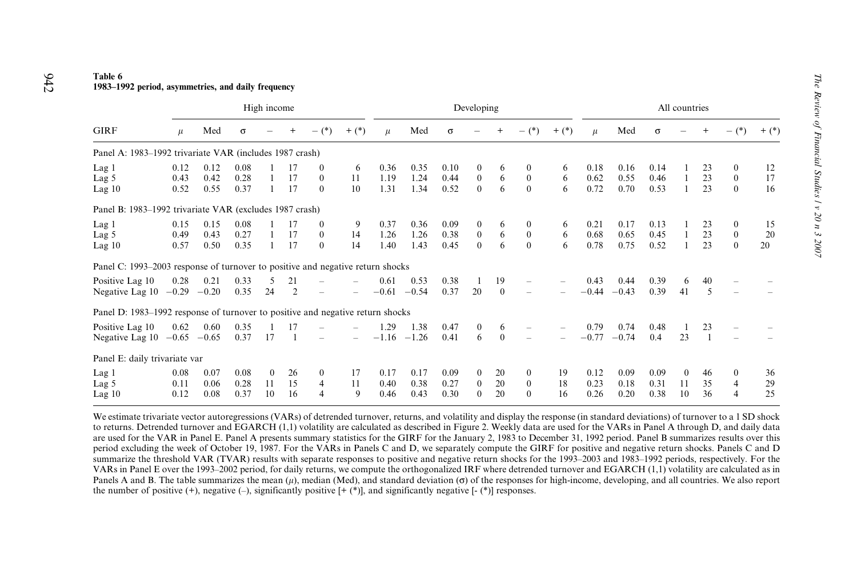#### Table 61983–1992 period, asymmetries, and daily frequency

|                                                                                |         |                 | High income |          |                |          | Developing        |         |         |      |                  |          |                          |         | All countries |         |          |          |    |              |           |
|--------------------------------------------------------------------------------|---------|-----------------|-------------|----------|----------------|----------|-------------------|---------|---------|------|------------------|----------|--------------------------|---------|---------------|---------|----------|----------|----|--------------|-----------|
| <b>GIRF</b>                                                                    | $\mu$   | Med             | σ           |          |                | $-$ (*)  | $+$ (*)           | $\mu$   | Med     | σ    |                  | $^{+}$   | $-$ (*)                  | $+$ (*) | $\mu$         | Med     | $\sigma$ |          |    | $-$ (*)      | $+$ $(*)$ |
| Panel A: 1983–1992 trivariate VAR (includes 1987 crash)                        |         |                 |             |          |                |          |                   |         |         |      |                  |          |                          |         |               |         |          |          |    |              |           |
| Lag 1                                                                          | 0.12    | 0.12            | 0.08        |          | 17             | $\theta$ | 6                 | 0.36    | 0.35    | 0.10 | $\mathbf{0}$     | 6        | $\mathbf{0}$             | 6       | 0.18          | 0.16    | 0.14     |          | 23 | $\mathbf{0}$ | 12        |
| Lag 5                                                                          | 0.43    | 0.42            | 0.28        |          | 17             | $\Omega$ | 11                | 1.19    | 1.24    | 0.44 | $\mathbf{0}$     | 6        | $\mathbf{0}$             | 6       | 0.62          | 0.55    | 0.46     |          | 23 | $\theta$     | 17        |
| $Lag$ 10                                                                       | 0.52    | 0.55            | 0.37        |          | 17             | $\Omega$ | 10                | 1.31    | 1.34    | 0.52 | $\theta$         | 6        | $\Omega$                 | 6       | 0.72          | 0.70    | 0.53     |          | 23 | $\theta$     | 16        |
| Panel B: 1983-1992 trivariate VAR (excludes 1987 crash)                        |         |                 |             |          |                |          |                   |         |         |      |                  |          |                          |         |               |         |          |          |    |              |           |
| Lag 1                                                                          | 0.15    | 0.15            | 0.08        |          | 17             | $\Omega$ | 9                 | 0.37    | 0.36    | 0.09 | $\mathbf{0}$     | 6        | $\Omega$                 | 6       | 0.21          | 0.17    | 0.13     |          | 23 | $\Omega$     | 15        |
| Lag $5$                                                                        | 0.49    | 0.43            | 0.27        |          | 17             | $\Omega$ | 14                | 1.26    | 1.26    | 0.38 | $\boldsymbol{0}$ | 6        | $\mathbf{0}$             | 6       | 0.68          | 0.65    | 0.45     |          | 23 | $\mathbf{0}$ | 20        |
| Lag10                                                                          | 0.57    | 0.50            | 0.35        |          | 17             | $\Omega$ | 14                | 1.40    | 1.43    | 0.45 | $\Omega$         | 6        | $\Omega$                 | 6       | 0.78          | 0.75    | 0.52     |          | 23 | $\theta$     | 20        |
| Panel C: 1993–2003 response of turnover to positive and negative return shocks |         |                 |             |          |                |          |                   |         |         |      |                  |          |                          |         |               |         |          |          |    |              |           |
| Positive Lag 10                                                                | 0.28    | 0.21            | 0.33        |          | 21             |          |                   | 0.61    | 0.53    | 0.38 |                  | 19       | $\overline{\phantom{0}}$ |         | 0.43          | 0.44    | 0.39     | 6        | 40 |              |           |
| Negative Lag 10                                                                | $-0.29$ | $-0.20$         | 0.35        | 24       | $\overline{2}$ |          | $\qquad \qquad -$ | $-0.61$ | $-0.54$ | 0.37 | 20               | $\theta$ |                          |         | $-0.44$       | $-0.43$ | 0.39     | 41       | 5  |              |           |
| Panel D: 1983–1992 response of turnover to positive and negative return shocks |         |                 |             |          |                |          |                   |         |         |      |                  |          |                          |         |               |         |          |          |    |              |           |
| Positive Lag 10                                                                | 0.62    | 0.60            | 0.35        |          |                |          |                   | 1.29    | 1.38    | 0.47 | $\mathbf{0}$     | 6        |                          |         | 0.79          | 0.74    | 0.48     |          | 23 |              |           |
| Negative Lag 10                                                                |         | $-0.65$ $-0.65$ | 0.37        | 17       |                |          |                   | $-1.16$ | $-1.26$ | 0.41 | 6                | $\theta$ |                          |         | $-0.77$       | $-0.74$ | 0.4      | 23       |    |              |           |
| Panel E: daily trivariate var                                                  |         |                 |             |          |                |          |                   |         |         |      |                  |          |                          |         |               |         |          |          |    |              |           |
| Lag 1                                                                          | 0.08    | 0.07            | 0.08        | $\Omega$ | 26             | $\Omega$ | 17                | 0.17    | 0.17    | 0.09 | $\mathbf{0}$     | 20       | $\Omega$                 | 19      | 0.12          | 0.09    | 0.09     | $\theta$ | 46 | $\Omega$     | 36        |
| Lag 5                                                                          | 0.11    | 0.06            | 0.28        | 11       | 15             | 4        | 11                | 0.40    | 0.38    | 0.27 | $\mathbf{0}$     | 20       | $\mathbf{0}$             | 18      | 0.23          | 0.18    | 0.31     | 11       | 35 | 4            | 29        |
| $Lag$ 10                                                                       | 0.12    | 0.08            | 0.37        | 10       | 16             | 4        | 9                 | 0.46    | 0.43    | 0.30 | $\Omega$         | 20       | $\Omega$                 | 16      | 0.26          | 0.20    | 0.38     | 10       | 36 | 4            | 25        |

We estimate trivariate vector autoregressions (VARs) of detrended turnover, returns, and volatility and display the response (in standard deviations) of turnover to a 1 SD shock to returns. Detrended turnover and EGARCH (1,1) volatility are calculated as described in Figure 2. Weekly data are used for the VARs in Panel A through D, and daily data are used for the VAR in Panel E. Panel A presents summary statistics for the GIRF for the January 2, 1983 to December 31, 1992 period. Panel B summarizes results over this period excluding the week of October 19, 1987. For the VARs in Panels C and D, we separately compute the GIRF for positive and negative return shocks. Panels C and D summarize the threshold VAR (TVAR) results with separate responses to positive and negative return shocks for the 1993–2003 and 1983–1992 periods, respectively. For the VARs in Panel E over the 1993–2002 period, for daily returns, we compute the orthogonalized IRF where detrended turnover and EGARCH (1,1) volatility are calculated as in Panels A and B. The table summarizes the mean (u), median (Med), and standard deviation (o) of the responses for high-income, developing, and all countries. We also report the number of positive (+), negative (-), significantly positive  $[+ (*)]$ , and significantly negative  $[-(*)]$  responses.

# 942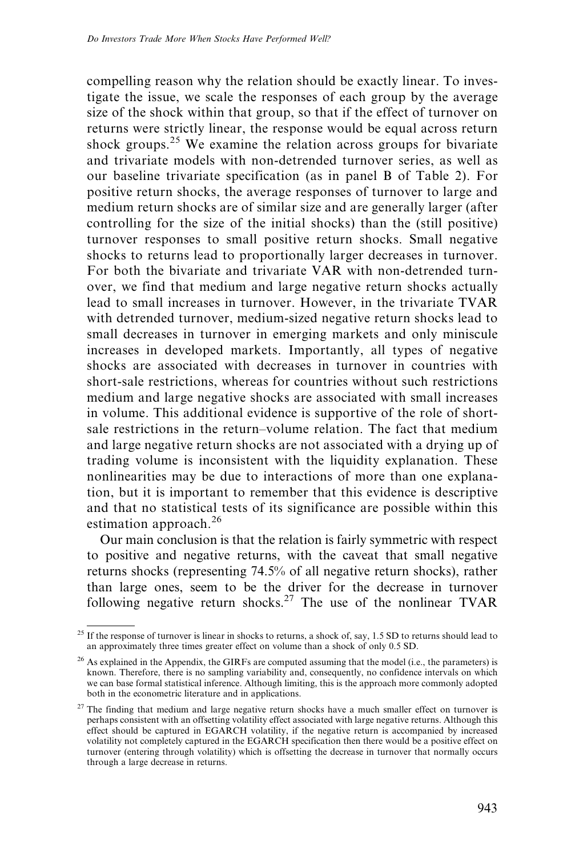compelling reason why the relation should be exactly linear. To investigate the issue, we scale the responses of each group by the average size of the shock within that group, so that if the effect of turnover on returns were strictly linear, the response would be equal across return shock groups.<sup>25</sup> We examine the relation across groups for bivariate and trivariate models with non-detrended turnover series, as well as our baseline trivariate specification (as in panel B of Table 2). For positive return shocks, the average responses of turnover to large and medium return shocks are of similar size and are generally larger (after controlling for the size of the initial shocks) than the (still positive) turnover responses to small positive return shocks. Small negative shocks to returns lead to proportionally larger decreases in turnover. For both the bivariate and trivariate VAR with non-detrended turnover, we find that medium and large negative return shocks actually lead to small increases in turnover. However, in the trivariate TVAR with detrended turnover, medium-sized negative return shocks lead to small decreases in turnover in emerging markets and only miniscule increases in developed markets. Importantly, all types of negative shocks are associated with decreases in turnover in countries with short-sale restrictions, whereas for countries without such restrictions medium and large negative shocks are associated with small increases in volume. This additional evidence is supportive of the role of shortsale restrictions in the return–volume relation. The fact that medium and large negative return shocks are not associated with a drying up of trading volume is inconsistent with the liquidity explanation. These nonlinearities may be due to interactions of more than one explanation, but it is important to remember that this evidence is descriptive and that no statistical tests of its significance are possible within this estimation approach. $^{26}$ 

Our main conclusion is that the relation is fairly symmetric with respect to positive and negative returns, with the caveat that small negative returns shocks (representing 74.5% of all negative return shocks), rather than large ones, seem to be the driver for the decrease in turnover following negative return shocks.<sup>27</sup> The use of the nonlinear TVAR

<sup>&</sup>lt;sup>25</sup> If the response of turnover is linear in shocks to returns, a shock of, say, 1.5 SD to returns should lead to an approximately three times greater effect on volume than a shock of only 0.5 SD.

<sup>&</sup>lt;sup>26</sup> As explained in the Appendix, the GIRFs are computed assuming that the model (i.e., the parameters) is known. Therefore, there is no sampling variability and, consequently, no confidence intervals on which we can base formal statistical inference. Although limiting, this is the approach more commonly adopted both in the econometric literature and in applications.

 $27$  The finding that medium and large negative return shocks have a much smaller effect on turnover is perhaps consistent with an offsetting volatility effect associated with large negative returns. Although this effect should be captured in EGARCH volatility, if the negative return is accompanied by increased volatility not completely captured in the EGARCH specification then there would be a positive effect on turnover (entering through volatility) which is offsetting the decrease in turnover that normally occurs through a large decrease in returns.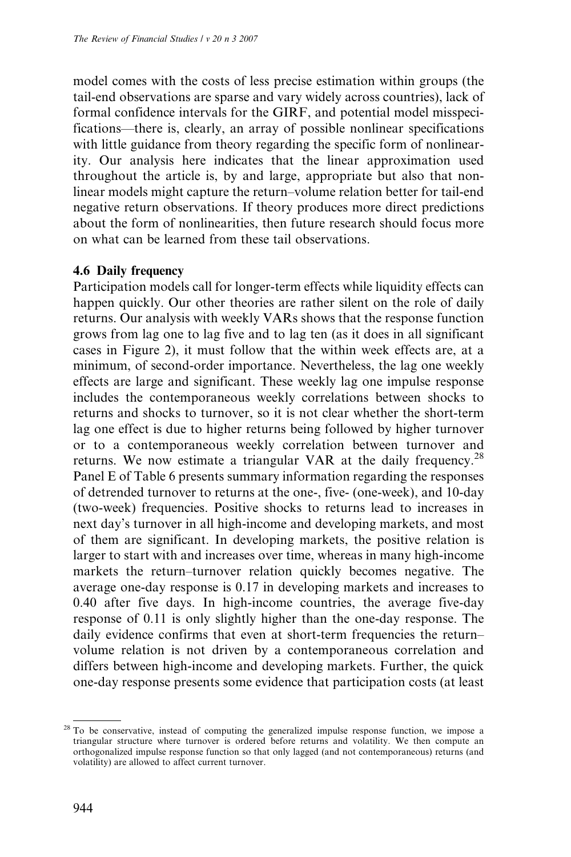model comes with the costs of less precise estimation within groups (the tail-end observations are sparse and vary widely across countries), lack of formal confidence intervals for the GIRF, and potential model misspecifications—there is, clearly, an array of possible nonlinear specifications with little guidance from theory regarding the specific form of nonlinearity. Our analysis here indicates that the linear approximation used throughout the article is, by and large, appropriate but also that nonlinear models might capture the return–volume relation better for tail-end negative return observations. If theory produces more direct predictions about the form of nonlinearities, then future research should focus more on what can be learned from these tail observations.

### 4.6 Daily frequency

Participation models call for longer-term effects while liquidity effects can happen quickly. Our other theories are rather silent on the role of daily returns. Our analysis with weekly VARs shows that the response function grows from lag one to lag five and to lag ten (as it does in all significant cases in Figure 2), it must follow that the within week effects are, at a minimum, of second-order importance. Nevertheless, the lag one weekly effects are large and significant. These weekly lag one impulse response includes the contemporaneous weekly correlations between shocks to returns and shocks to turnover, so it is not clear whether the short-term lag one effect is due to higher returns being followed by higher turnover or to a contemporaneous weekly correlation between turnover and returns. We now estimate a triangular VAR at the daily frequency.<sup>28</sup> Panel E of Table 6 presents summary information regarding the responses of detrended turnover to returns at the one-, five- (one-week), and 10-day (two-week) frequencies. Positive shocks to returns lead to increases in next day's turnover in all high-income and developing markets, and most of them are significant. In developing markets, the positive relation is larger to start with and increases over time, whereas in many high-income markets the return–turnover relation quickly becomes negative. The average one-day response is 0.17 in developing markets and increases to 0.40 after five days. In high-income countries, the average five-day response of 0.11 is only slightly higher than the one-day response. The daily evidence confirms that even at short-term frequencies the return– volume relation is not driven by a contemporaneous correlation and differs between high-income and developing markets. Further, the quick one-day response presents some evidence that participation costs (at least

<sup>&</sup>lt;sup>28</sup> To be conservative, instead of computing the generalized impulse response function, we impose a triangular structure where turnover is ordered before returns and volatility. We then compute an orthogonalized impulse response function so that only lagged (and not contemporaneous) returns (and volatility) are allowed to affect current turnover.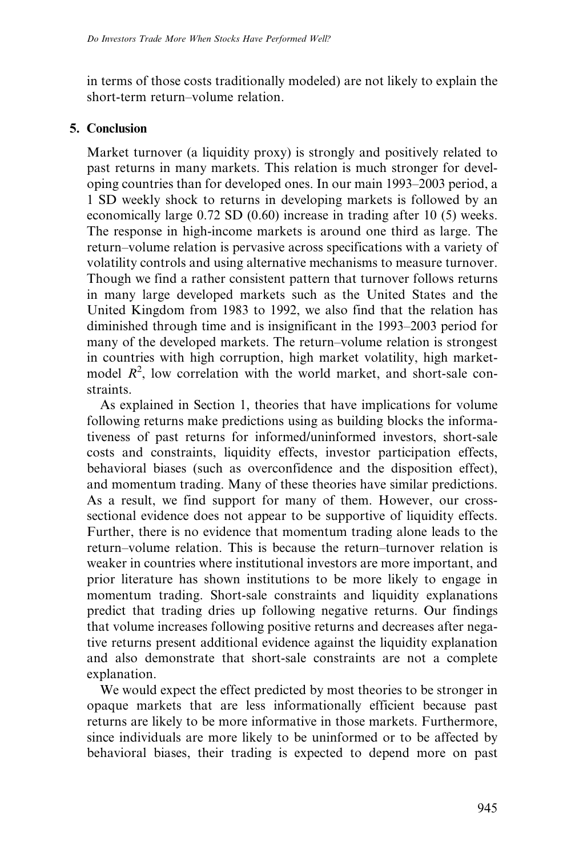in terms of those costs traditionally modeled) are not likely to explain the short-term return–volume relation.

### 5. Conclusion

Market turnover (a liquidity proxy) is strongly and positively related to past returns in many markets. This relation is much stronger for developing countries than for developed ones. In our main 1993–2003 period, a 1 SD weekly shock to returns in developing markets is followed by an economically large 0.72 SD (0.60) increase in trading after 10 (5) weeks. The response in high-income markets is around one third as large. The return–volume relation is pervasive across specifications with a variety of volatility controls and using alternative mechanisms to measure turnover. Though we find a rather consistent pattern that turnover follows returns in many large developed markets such as the United States and the United Kingdom from 1983 to 1992, we also find that the relation has diminished through time and is insignificant in the 1993–2003 period for many of the developed markets. The return–volume relation is strongest in countries with high corruption, high market volatility, high marketmodel  $R^2$ , low correlation with the world market, and short-sale constraints.

As explained in Section 1, theories that have implications for volume following returns make predictions using as building blocks the informativeness of past returns for informed/uninformed investors, short-sale costs and constraints, liquidity effects, investor participation effects, behavioral biases (such as overconfidence and the disposition effect), and momentum trading. Many of these theories have similar predictions. As a result, we find support for many of them. However, our crosssectional evidence does not appear to be supportive of liquidity effects. Further, there is no evidence that momentum trading alone leads to the return–volume relation. This is because the return–turnover relation is weaker in countries where institutional investors are more important, and prior literature has shown institutions to be more likely to engage in momentum trading. Short-sale constraints and liquidity explanations predict that trading dries up following negative returns. Our findings that volume increases following positive returns and decreases after negative returns present additional evidence against the liquidity explanation and also demonstrate that short-sale constraints are not a complete explanation.

We would expect the effect predicted by most theories to be stronger in opaque markets that are less informationally efficient because past returns are likely to be more informative in those markets. Furthermore, since individuals are more likely to be uninformed or to be affected by behavioral biases, their trading is expected to depend more on past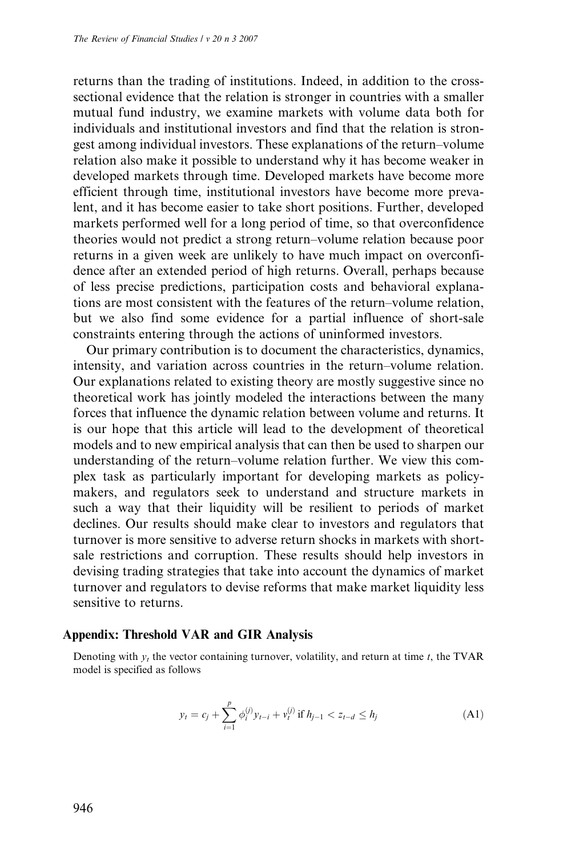returns than the trading of institutions. Indeed, in addition to the crosssectional evidence that the relation is stronger in countries with a smaller mutual fund industry, we examine markets with volume data both for individuals and institutional investors and find that the relation is strongest among individual investors. These explanations of the return–volume relation also make it possible to understand why it has become weaker in developed markets through time. Developed markets have become more efficient through time, institutional investors have become more prevalent, and it has become easier to take short positions. Further, developed markets performed well for a long period of time, so that overconfidence theories would not predict a strong return–volume relation because poor returns in a given week are unlikely to have much impact on overconfidence after an extended period of high returns. Overall, perhaps because of less precise predictions, participation costs and behavioral explanations are most consistent with the features of the return–volume relation, but we also find some evidence for a partial influence of short-sale constraints entering through the actions of uninformed investors.

Our primary contribution is to document the characteristics, dynamics, intensity, and variation across countries in the return–volume relation. Our explanations related to existing theory are mostly suggestive since no theoretical work has jointly modeled the interactions between the many forces that influence the dynamic relation between volume and returns. It is our hope that this article will lead to the development of theoretical models and to new empirical analysis that can then be used to sharpen our understanding of the return–volume relation further. We view this complex task as particularly important for developing markets as policymakers, and regulators seek to understand and structure markets in such a way that their liquidity will be resilient to periods of market declines. Our results should make clear to investors and regulators that turnover is more sensitive to adverse return shocks in markets with shortsale restrictions and corruption. These results should help investors in devising trading strategies that take into account the dynamics of market turnover and regulators to devise reforms that make market liquidity less sensitive to returns.

#### Appendix: Threshold VAR and GIR Analysis

Denoting with  $v_t$ , the vector containing turnover, volatility, and return at time t, the TVAR model is specified as follows

$$
y_t = c_j + \sum_{i=1}^p \phi_i^{(j)} y_{t-i} + v_t^{(j)} \text{ if } h_{j-1} < z_{t-d} \le h_j \tag{A1}
$$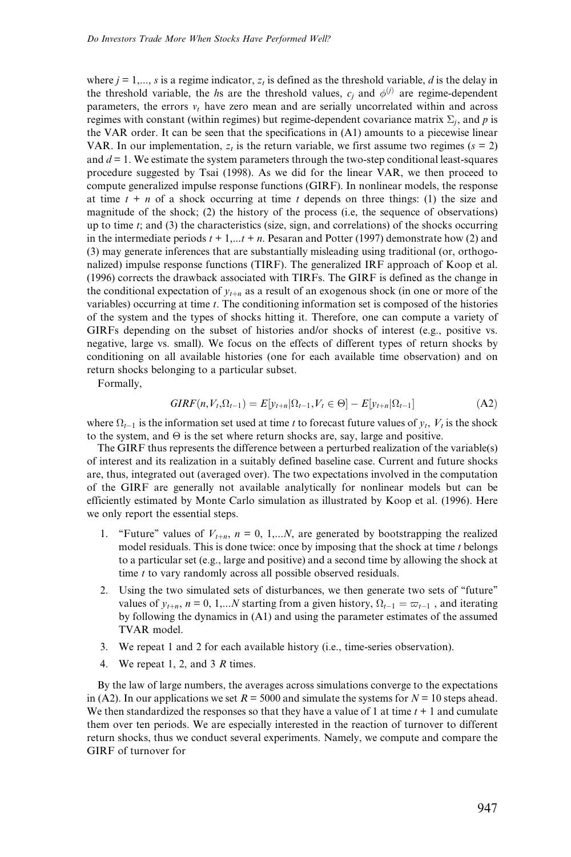where  $j = 1,..., s$  is a regime indicator,  $z<sub>i</sub>$  is defined as the threshold variable, d is the delay in the threshold variable, the hs are the threshold values,  $c_j$  and  $\phi^{(j)}$  are regime-dependent parameters, the errors  $v_t$  have zero mean and are serially uncorrelated within and across regimes with constant (within regimes) but regime-dependent covariance matrix  $\Sigma_j$ , and p is the VAR order. It can be seen that the specifications in (A1) amounts to a piecewise linear VAR. In our implementation,  $z<sub>t</sub>$  is the return variable, we first assume two regimes ( $s = 2$ ) and  $d = 1$ . We estimate the system parameters through the two-step conditional least-squares procedure suggested by Tsai (1998). As we did for the linear VAR, we then proceed to compute generalized impulse response functions (GIRF). In nonlinear models, the response at time  $t + n$  of a shock occurring at time t depends on three things: (1) the size and magnitude of the shock; (2) the history of the process (i.e, the sequence of observations) up to time  $t$ ; and  $(3)$  the characteristics (size, sign, and correlations) of the shocks occurring in the intermediate periods  $t + 1, \ldots, t + n$ . Pesaran and Potter (1997) demonstrate how (2) and (3) may generate inferences that are substantially misleading using traditional (or, orthogonalized) impulse response functions (TIRF). The generalized IRF approach of Koop et al. (1996) corrects the drawback associated with TIRFs. The GIRF is defined as the change in the conditional expectation of  $y_{t+n}$  as a result of an exogenous shock (in one or more of the variables) occurring at time  $t$ . The conditioning information set is composed of the histories of the system and the types of shocks hitting it. Therefore, one can compute a variety of GIRFs depending on the subset of histories and/or shocks of interest (e.g., positive vs. negative, large vs. small). We focus on the effects of different types of return shocks by conditioning on all available histories (one for each available time observation) and on return shocks belonging to a particular subset.

Formally,

$$
GIRF(n, V_t, \Omega_{t-1}) = E[y_{t+n} | \Omega_{t-1}, V_t \in \Theta] - E[y_{t+n} | \Omega_{t-1}] \tag{A2}
$$

where  $\Omega_{t-1}$  is the information set used at time t to forecast future values of  $y_t$ ,  $V_t$  is the shock to the system, and  $\Theta$  is the set where return shocks are, say, large and positive.

The GIRF thus represents the difference between a perturbed realization of the variable(s) of interest and its realization in a suitably defined baseline case. Current and future shocks are, thus, integrated out (averaged over). The two expectations involved in the computation of the GIRF are generally not available analytically for nonlinear models but can be efficiently estimated by Monte Carlo simulation as illustrated by Koop et al. (1996). Here we only report the essential steps.

- 1. "Future" values of  $V_{t+n}$ ,  $n = 0, 1,...N$ , are generated by bootstrapping the realized model residuals. This is done twice: once by imposing that the shock at time  $t$  belongs to a particular set (e.g., large and positive) and a second time by allowing the shock at time  $t$  to vary randomly across all possible observed residuals.
- 2. Using the two simulated sets of disturbances, we then generate two sets of ''future'' values of  $y_{t+n}$ ,  $n = 0, 1,...N$  starting from a given history,  $\Omega_{t-1} = \varpi_{t-1}$ , and iterating by following the dynamics in (A1) and using the parameter estimates of the assumed TVAR model.
- 3. We repeat 1 and 2 for each available history (i.e., time-series observation).
- 4. We repeat 1, 2, and 3 R times.

By the law of large numbers, the averages across simulations converge to the expectations in (A2). In our applications we set  $R = 5000$  and simulate the systems for  $N = 10$  steps ahead. We then standardized the responses so that they have a value of 1 at time  $t + 1$  and cumulate them over ten periods. We are especially interested in the reaction of turnover to different return shocks, thus we conduct several experiments. Namely, we compute and compare the GIRF of turnover for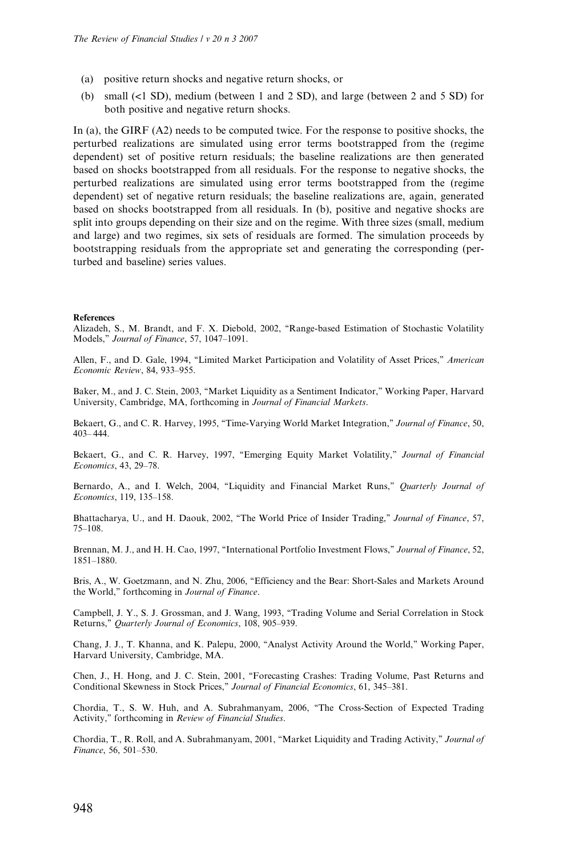- (a) positive return shocks and negative return shocks, or
- (b) small (<1 SD), medium (between 1 and 2 SD), and large (between 2 and 5 SD) for both positive and negative return shocks.

In (a), the GIRF (A2) needs to be computed twice. For the response to positive shocks, the perturbed realizations are simulated using error terms bootstrapped from the (regime dependent) set of positive return residuals; the baseline realizations are then generated based on shocks bootstrapped from all residuals. For the response to negative shocks, the perturbed realizations are simulated using error terms bootstrapped from the (regime dependent) set of negative return residuals; the baseline realizations are, again, generated based on shocks bootstrapped from all residuals. In (b), positive and negative shocks are split into groups depending on their size and on the regime. With three sizes (small, medium and large) and two regimes, six sets of residuals are formed. The simulation proceeds by bootstrapping residuals from the appropriate set and generating the corresponding (perturbed and baseline) series values.

#### References

Alizadeh, S., M. Brandt, and F. X. Diebold, 2002, ''Range-based Estimation of Stochastic Volatility Models,'' Journal of Finance, 57, 1047–1091.

Allen, F., and D. Gale, 1994, "Limited Market Participation and Volatility of Asset Prices," American Economic Review, 84, 933–955.

Baker, M., and J. C. Stein, 2003, ''Market Liquidity as a Sentiment Indicator,'' Working Paper, Harvard University, Cambridge, MA, forthcoming in Journal of Financial Markets.

Bekaert, G., and C. R. Harvey, 1995, "Time-Varying World Market Integration," Journal of Finance, 50, 403– 444.

Bekaert, G., and C. R. Harvey, 1997, "Emerging Equity Market Volatility," Journal of Financial Economics, 43, 29–78.

Bernardo, A., and I. Welch, 2004, "Liquidity and Financial Market Runs," Quarterly Journal of Economics, 119, 135–158.

Bhattacharya, U., and H. Daouk, 2002, "The World Price of Insider Trading," Journal of Finance, 57, 75–108.

Brennan, M. J., and H. H. Cao, 1997, "International Portfolio Investment Flows," Journal of Finance, 52, 1851–1880.

Bris, A., W. Goetzmann, and N. Zhu, 2006, "Efficiency and the Bear: Short-Sales and Markets Around the World," forthcoming in Journal of Finance.

Campbell, J. Y., S. J. Grossman, and J. Wang, 1993, ''Trading Volume and Serial Correlation in Stock Returns,'' Quarterly Journal of Economics, 108, 905–939.

Chang, J. J., T. Khanna, and K. Palepu, 2000, "Analyst Activity Around the World," Working Paper, Harvard University, Cambridge, MA.

Chen, J., H. Hong, and J. C. Stein, 2001, ''Forecasting Crashes: Trading Volume, Past Returns and Conditional Skewness in Stock Prices,'' Journal of Financial Economics, 61, 345–381.

Chordia, T., S. W. Huh, and A. Subrahmanyam, 2006, ''The Cross-Section of Expected Trading Activity,'' forthcoming in Review of Financial Studies.

Chordia, T., R. Roll, and A. Subrahmanyam, 2001, "Market Liquidity and Trading Activity," Journal of Finance, 56, 501–530.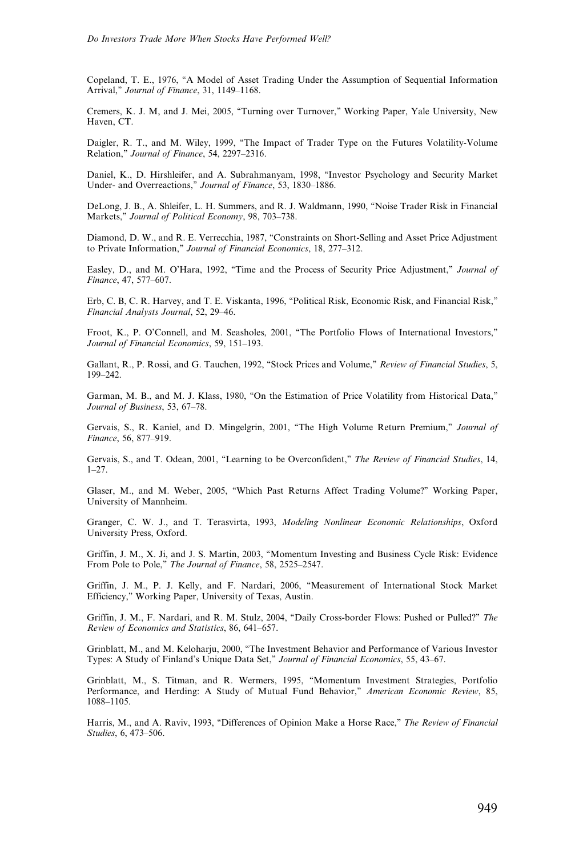Copeland, T. E., 1976, ''A Model of Asset Trading Under the Assumption of Sequential Information Arrival,'' Journal of Finance, 31, 1149–1168.

Cremers, K. J. M, and J. Mei, 2005, ''Turning over Turnover,'' Working Paper, Yale University, New Haven, CT.

Daigler, R. T., and M. Wiley, 1999, "The Impact of Trader Type on the Futures Volatility-Volume Relation,'' Journal of Finance, 54, 2297–2316.

Daniel, K., D. Hirshleifer, and A. Subrahmanyam, 1998, ''Investor Psychology and Security Market Under- and Overreactions,'' Journal of Finance, 53, 1830–1886.

DeLong, J. B., A. Shleifer, L. H. Summers, and R. J. Waldmann, 1990, ''Noise Trader Risk in Financial Markets,'' Journal of Political Economy, 98, 703–738.

Diamond, D. W., and R. E. Verrecchia, 1987, "Constraints on Short-Selling and Asset Price Adjustment to Private Information,'' Journal of Financial Economics, 18, 277–312.

Easley, D., and M. O'Hara, 1992, "Time and the Process of Security Price Adjustment," Journal of Finance, 47, 577–607.

Erb, C. B, C. R. Harvey, and T. E. Viskanta, 1996, ''Political Risk, Economic Risk, and Financial Risk,'' Financial Analysts Journal, 52, 29–46.

Froot, K., P. O'Connell, and M. Seasholes, 2001, "The Portfolio Flows of International Investors," Journal of Financial Economics, 59, 151–193.

Gallant, R., P. Rossi, and G. Tauchen, 1992, "Stock Prices and Volume," Review of Financial Studies, 5, 199–242.

Garman, M. B., and M. J. Klass, 1980, "On the Estimation of Price Volatility from Historical Data," Journal of Business, 53, 67–78.

Gervais, S., R. Kaniel, and D. Mingelgrin, 2001, "The High Volume Return Premium," Journal of Finance, 56, 877–919.

Gervais, S., and T. Odean, 2001, "Learning to be Overconfident," The Review of Financial Studies, 14,  $1 - 27$ 

Glaser, M., and M. Weber, 2005, ''Which Past Returns Affect Trading Volume?'' Working Paper, University of Mannheim.

Granger, C. W. J., and T. Terasvirta, 1993, Modeling Nonlinear Economic Relationships, Oxford University Press, Oxford.

Griffin, J. M., X. Ji, and J. S. Martin, 2003, ''Momentum Investing and Business Cycle Risk: Evidence From Pole to Pole," The Journal of Finance, 58, 2525-2547.

Griffin, J. M., P. J. Kelly, and F. Nardari, 2006, ''Measurement of International Stock Market Efficiency,'' Working Paper, University of Texas, Austin.

Griffin, J. M., F. Nardari, and R. M. Stulz, 2004, "Daily Cross-border Flows: Pushed or Pulled?" The Review of Economics and Statistics, 86, 641–657.

Grinblatt, M., and M. Keloharju, 2000, ''The Investment Behavior and Performance of Various Investor Types: A Study of Finland's Unique Data Set,'' Journal of Financial Economics, 55, 43–67.

Grinblatt, M., S. Titman, and R. Wermers, 1995, ''Momentum Investment Strategies, Portfolio Performance, and Herding: A Study of Mutual Fund Behavior," American Economic Review, 85, 1088–1105.

Harris, M., and A. Raviv, 1993, "Differences of Opinion Make a Horse Race," The Review of Financial Studies, 6, 473–506.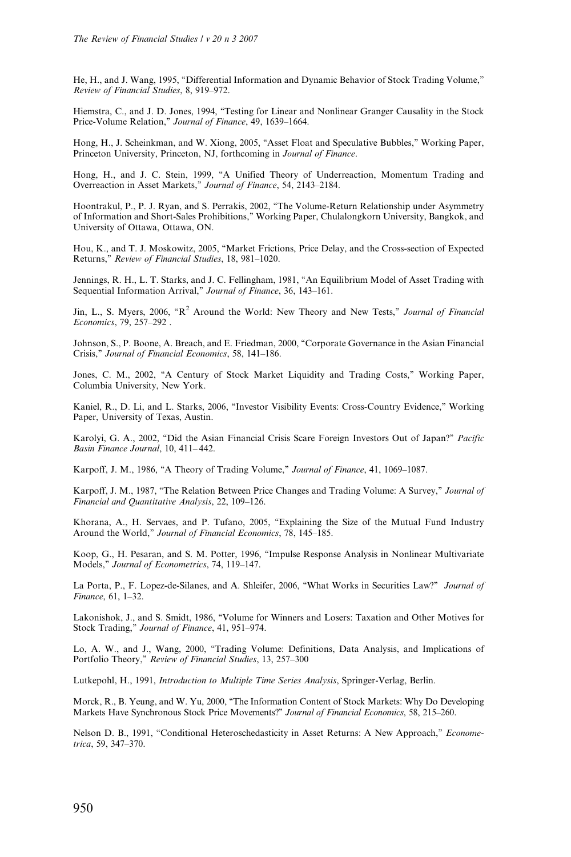He, H., and J. Wang, 1995, "Differential Information and Dynamic Behavior of Stock Trading Volume," Review of Financial Studies, 8, 919–972.

Hiemstra, C., and J. D. Jones, 1994, ''Testing for Linear and Nonlinear Granger Causality in the Stock Price-Volume Relation," Journal of Finance, 49, 1639-1664.

Hong, H., J. Scheinkman, and W. Xiong, 2005, "Asset Float and Speculative Bubbles," Working Paper, Princeton University, Princeton, NJ, forthcoming in Journal of Finance.

Hong, H., and J. C. Stein, 1999, "A Unified Theory of Underreaction, Momentum Trading and Overreaction in Asset Markets,'' Journal of Finance, 54, 2143–2184.

Hoontrakul, P., P. J. Ryan, and S. Perrakis, 2002, "The Volume-Return Relationship under Asymmetry of Information and Short-Sales Prohibitions,'' Working Paper, Chulalongkorn University, Bangkok, and University of Ottawa, Ottawa, ON.

Hou, K., and T. J. Moskowitz, 2005, ''Market Frictions, Price Delay, and the Cross-section of Expected Returns,'' Review of Financial Studies, 18, 981–1020.

Jennings, R. H., L. T. Starks, and J. C. Fellingham, 1981, ''An Equilibrium Model of Asset Trading with Sequential Information Arrival," Journal of Finance, 36, 143-161.

Jin, L., S. Myers, 2006,  $R^2$  Around the World: New Theory and New Tests," *Journal of Financial* Economics, 79, 257–292 .

Johnson, S., P. Boone, A. Breach, and E. Friedman, 2000, ''Corporate Governance in the Asian Financial Crisis,'' Journal of Financial Economics, 58, 141–186.

Jones, C. M., 2002, ''A Century of Stock Market Liquidity and Trading Costs,'' Working Paper, Columbia University, New York.

Kaniel, R., D. Li, and L. Starks, 2006, "Investor Visibility Events: Cross-Country Evidence," Working Paper, University of Texas, Austin.

Karolyi, G. A., 2002, "Did the Asian Financial Crisis Scare Foreign Investors Out of Japan?" Pacific Basin Finance Journal, 10, 411– 442.

Karpoff, J. M., 1986, "A Theory of Trading Volume," Journal of Finance, 41, 1069–1087.

Karpoff, J. M., 1987, "The Relation Between Price Changes and Trading Volume: A Survey," Journal of Financial and Quantitative Analysis, 22, 109–126.

Khorana, A., H. Servaes, and P. Tufano, 2005, "Explaining the Size of the Mutual Fund Industry Around the World,'' Journal of Financial Economics, 78, 145–185.

Koop, G., H. Pesaran, and S. M. Potter, 1996, ''Impulse Response Analysis in Nonlinear Multivariate Models,'' Journal of Econometrics, 74, 119–147.

La Porta, P., F. Lopez-de-Silanes, and A. Shleifer, 2006, "What Works in Securities Law?" Journal of Finance, 61, 1–32.

Lakonishok, J., and S. Smidt, 1986, "Volume for Winners and Losers: Taxation and Other Motives for<br>Stock Trading," Journal of Finance, 41, 951–974.

Lo, A. W., and J., Wang, 2000, ''Trading Volume: Definitions, Data Analysis, and Implications of Portfolio Theory,'' Review of Financial Studies, 13, 257–300

Lutkepohl, H., 1991, Introduction to Multiple Time Series Analysis, Springer-Verlag, Berlin.

Morck, R., B. Yeung, and W. Yu, 2000, ''The Information Content of Stock Markets: Why Do Developing Markets Have Synchronous Stock Price Movements?'' Journal of Financial Economics, 58, 215–260.

Nelson D. B., 1991, "Conditional Heteroschedasticity in Asset Returns: A New Approach," Econometrica, 59, 347–370.